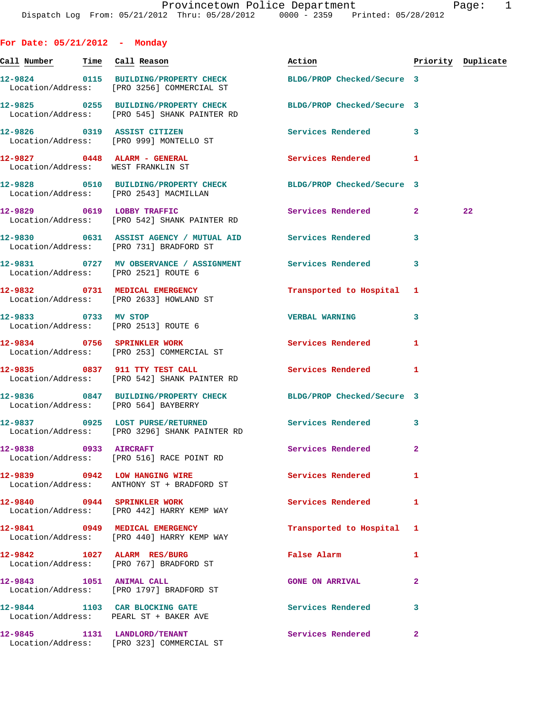| For Date: $05/21/2012$ - Monday                                    |                                                                                                                 |                          |                |                    |
|--------------------------------------------------------------------|-----------------------------------------------------------------------------------------------------------------|--------------------------|----------------|--------------------|
| <u>Call Number — Time Call Reason</u>                              |                                                                                                                 | Action                   |                | Priority Duplicate |
|                                                                    | 12-9824 0115 BUILDING/PROPERTY CHECK BLDG/PROP Checked/Secure 3<br>Location/Address: [PRO 3256] COMMERCIAL ST   |                          |                |                    |
|                                                                    | 12-9825 0255 BUILDING/PROPERTY CHECK BLDG/PROP Checked/Secure 3<br>Location/Address: [PRO 545] SHANK PAINTER RD |                          |                |                    |
|                                                                    | 12-9826 0319 ASSIST CITIZEN<br>Location/Address: [PRO 999] MONTELLO ST                                          | Services Rendered 3      |                |                    |
| 12-9827 0448 ALARM - GENERAL<br>Location/Address: WEST FRANKLIN ST |                                                                                                                 | <b>Services Rendered</b> | 1              |                    |
| Location/Address: [PRO 2543] MACMILLAN                             | 12-9828 0510 BUILDING/PROPERTY CHECK BLDG/PROP Checked/Secure 3                                                 |                          |                |                    |
|                                                                    | 12-9829 0619 LOBBY TRAFFIC<br>Location/Address: [PRO 542] SHANK PAINTER RD                                      | Services Rendered 2      |                | 22                 |
|                                                                    | 12-9830 0631 ASSIST AGENCY / MUTUAL AID Services Rendered<br>Location/Address: [PRO 731] BRADFORD ST            |                          | 3              |                    |
| Location/Address: [PRO 2521] ROUTE 6                               | 12-9831 0727 MV OBSERVANCE / ASSIGNMENT Services Rendered                                                       |                          | 3              |                    |
| 12-9832 0731 MEDICAL EMERGENCY                                     | Location/Address: [PRO 2633] HOWLAND ST                                                                         | Transported to Hospital  | 1              |                    |
| 12-9833 0733 MV STOP                                               | Location/Address: [PRO 2513] ROUTE 6                                                                            | <b>VERBAL WARNING</b>    | 3              |                    |
|                                                                    | 12-9834 0756 SPRINKLER WORK<br>Location/Address: [PRO 253] COMMERCIAL ST                                        | <b>Services Rendered</b> | 1              |                    |
|                                                                    | 12-9835 0837 911 TTY TEST CALL<br>Location/Address: [PRO 542] SHANK PAINTER RD                                  | <b>Services Rendered</b> | 1              |                    |
| Location/Address: [PRO 564] BAYBERRY                               | 12-9836 0847 BUILDING/PROPERTY CHECK BLDG/PROP Checked/Secure 3                                                 |                          |                |                    |
|                                                                    | 12-9837 0925 LOST PURSE/RETURNED Services Rendered 3<br>Location/Address: [PRO 3296] SHANK PAINTER RD           |                          |                |                    |
| 12-9838 0933 AIRCRAFT                                              | Location/Address: [PRO 516] RACE POINT RD                                                                       | Services Rendered        | 2              |                    |
|                                                                    | 12-9839 0942 LOW HANGING WIRE<br>Location/Address: ANTHONY ST + BRADFORD ST                                     | <b>Services Rendered</b> | 1              |                    |
| 12-9840 0944 SPRINKLER WORK                                        | Location/Address: [PRO 442] HARRY KEMP WAY                                                                      | Services Rendered        | 1              |                    |
|                                                                    | 12-9841 0949 MEDICAL EMERGENCY<br>Location/Address: [PRO 440] HARRY KEMP WAY                                    | Transported to Hospital  | 1              |                    |
| 12-9842 1027 ALARM RES/BURG                                        | Location/Address: [PRO 767] BRADFORD ST                                                                         | <b>False Alarm</b>       | 1              |                    |
| 12-9843 1051 ANIMAL CALL                                           | Location/Address: [PRO 1797] BRADFORD ST                                                                        | <b>GONE ON ARRIVAL</b>   | $\overline{a}$ |                    |
| Location/Address: PEARL ST + BAKER AVE                             | 12-9844 1103 CAR BLOCKING GATE                                                                                  | <b>Services Rendered</b> | 3              |                    |
| 12-9845 1131 LANDLORD/TENANT                                       | Location/Address: [PRO 323] COMMERCIAL ST                                                                       | <b>Services Rendered</b> | $\mathbf{2}$   |                    |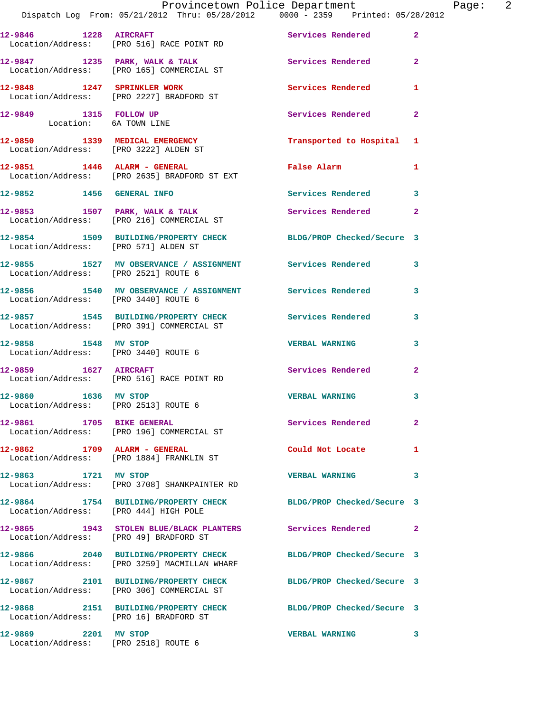|                                                                         | Provincetown Police Department<br>Dispatch Log From: 05/21/2012 Thru: 05/28/2012 0000 - 2359 Printed: 05/28/2012 |                            |                |
|-------------------------------------------------------------------------|------------------------------------------------------------------------------------------------------------------|----------------------------|----------------|
| 12-9846 1228 AIRCRAFT                                                   | Location/Address: [PRO 516] RACE POINT RD                                                                        | Services Rendered          | $\mathbf{2}$   |
|                                                                         | 12-9847 1235 PARK, WALK & TALK<br>Location/Address: [PRO 165] COMMERCIAL ST                                      | Services Rendered          | $\mathbf{2}$   |
|                                                                         | 12-9848 1247 SPRINKLER WORK<br>Location/Address: [PRO 2227] BRADFORD ST                                          | Services Rendered          | 1              |
| 12-9849 1315 FOLLOW UP<br>Location: 6A TOWN LINE                        |                                                                                                                  | Services Rendered          | $\overline{a}$ |
| 12-9850 1339 MEDICAL EMERGENCY<br>Location/Address: [PRO 3222] ALDEN ST |                                                                                                                  | Transported to Hospital    | 1              |
|                                                                         | 12-9851 1446 ALARM - GENERAL<br>Location/Address: [PRO 2635] BRADFORD ST EXT                                     | False Alarm                | 1              |
|                                                                         | 12-9852 1456 GENERAL INFO                                                                                        | Services Rendered          | 3              |
|                                                                         | 12-9853 1507 PARK, WALK & TALK<br>Location/Address: [PRO 216] COMMERCIAL ST                                      | Services Rendered          | $\overline{a}$ |
| Location/Address: [PRO 571] ALDEN ST                                    | 12-9854 1509 BUILDING/PROPERTY CHECK                                                                             | BLDG/PROP Checked/Secure 3 |                |
| Location/Address: [PRO 2521] ROUTE 6                                    | 12-9855 1527 MV OBSERVANCE / ASSIGNMENT Services Rendered                                                        |                            | 3              |
| Location/Address: [PRO 3440] ROUTE 6                                    | 12-9856 1540 MV OBSERVANCE / ASSIGNMENT Services Rendered                                                        |                            | 3              |
|                                                                         | 12-9857 1545 BUILDING/PROPERTY CHECK Services Rendered<br>Location/Address: [PRO 391] COMMERCIAL ST              |                            | 3              |
| 12-9858 1548 MV STOP<br>Location/Address: [PRO 3440] ROUTE 6            |                                                                                                                  | <b>VERBAL WARNING</b>      | 3              |
| 12-9859 1627 AIRCRAFT                                                   | Location/Address: [PRO 516] RACE POINT RD                                                                        | Services Rendered          | $\mathbf{2}$   |
| 1636 MV STOP<br>12-9860<br>Location/Address: [PRO 2513] ROUTE 6         |                                                                                                                  | <b>VERBAL WARNING</b>      | 3              |
| 12-9861 1705 BIKE GENERAL                                               | Location/Address: [PRO 196] COMMERCIAL ST                                                                        | Services Rendered          | $\mathbf{2}$   |
| 12-9862 1709 ALARM - GENERAL                                            | Location/Address: [PRO 1884] FRANKLIN ST                                                                         | Could Not Locate           | 1              |
| 12-9863 1721 MV STOP                                                    | Location/Address: [PRO 3708] SHANKPAINTER RD                                                                     | <b>VERBAL WARNING</b>      | 3              |
| Location/Address: [PRO 444] HIGH POLE                                   | 12-9864 1754 BUILDING/PROPERTY CHECK                                                                             | BLDG/PROP Checked/Secure 3 |                |
| Location/Address: [PRO 49] BRADFORD ST                                  | 12-9865 1943 STOLEN BLUE/BLACK PLANTERS Services Rendered                                                        |                            | $\mathbf{2}$   |
|                                                                         | 12-9866 2040 BUILDING/PROPERTY CHECK<br>Location/Address: [PRO 3259] MACMILLAN WHARF                             | BLDG/PROP Checked/Secure 3 |                |
|                                                                         | 12-9867 2101 BUILDING/PROPERTY CHECK<br>Location/Address: [PRO 306] COMMERCIAL ST                                | BLDG/PROP Checked/Secure 3 |                |
| Location/Address: [PRO 16] BRADFORD ST                                  | 12-9868 2151 BUILDING/PROPERTY CHECK BLDG/PROP Checked/Secure 3                                                  |                            |                |
| 12-9869 2201 MV STOP<br>Location/Address: [PRO 2518] ROUTE 6            |                                                                                                                  | <b>VERBAL WARNING</b>      | 3              |

Page: 2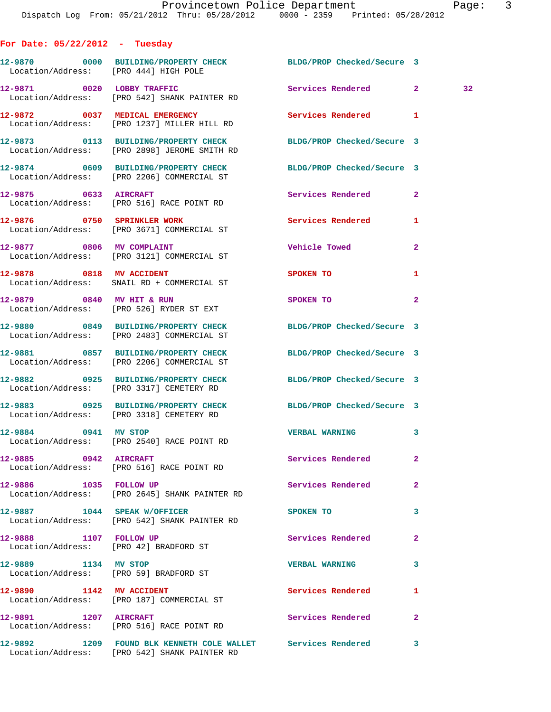**12-9870 0000 BUILDING/PROPERTY CHECK BLDG/PROP Checked/Secure 3**  Location/Address: [PRO 444] HIGH POLE **12-9871 0020 LOBBY TRAFFIC Services Rendered 2 32**  Location/Address: [PRO 542] SHANK PAINTER RD **12-9872 0037 MEDICAL EMERGENCY Services Rendered 1**  Location/Address: [PRO 1237] MILLER HILL RD **12-9873 0113 BUILDING/PROPERTY CHECK BLDG/PROP Checked/Secure 3**  Location/Address: [PRO 2898] JEROME SMITH RD **12-9874 0609 BUILDING/PROPERTY CHECK BLDG/PROP Checked/Secure 3**  Location/Address: [PRO 2206] COMMERCIAL ST **12-9875 0633 AIRCRAFT Services Rendered 2**  Location/Address: [PRO 516] RACE POINT RD **12-9876 0750 SPRINKLER WORK Services Rendered 1**  Location/Address: [PRO 3671] COMMERCIAL ST **12-9877 0806 MV COMPLAINT Vehicle Towed 2**  Location/Address: [PRO 3121] COMMERCIAL ST **12-9878 0818 MV ACCIDENT SPOKEN TO 1**  Location/Address: SNAIL RD + COMMERCIAL ST **12-9879 0840 MV HIT & RUN SPOKEN TO 2**  Location/Address: [PRO 526] RYDER ST EXT **12-9880 0849 BUILDING/PROPERTY CHECK BLDG/PROP Checked/Secure 3**  Location/Address: [PRO 2483] COMMERCIAL ST **12-9881 0857 BUILDING/PROPERTY CHECK BLDG/PROP Checked/Secure 3**  Location/Address: [PRO 2206] COMMERCIAL ST **12-9882 0925 BUILDING/PROPERTY CHECK BLDG/PROP Checked/Secure 3**  Location/Address: [PRO 3317] CEMETERY RD **12-9883 0925 BUILDING/PROPERTY CHECK BLDG/PROP Checked/Secure 3**  Location/Address: [PRO 3318] CEMETERY RD **12-9884 0941 MV STOP VERBAL WARNING 3**  Location/Address: [PRO 2540] RACE POINT RD **12-9885 0942 AIRCRAFT Services Rendered 2**  Location/Address: [PRO 516] RACE POINT RD **12-9886 1035 FOLLOW UP Services Rendered 2**  Location/Address: [PRO 2645] SHANK PAINTER RD **12-9887 1044 SPEAK W/OFFICER SPOKEN TO 3**  Location/Address: [PRO 542] SHANK PAINTER RD **12-9888 1107 FOLLOW UP Services Rendered 2**  Location/Address: [PRO 42] BRADFORD ST **12-9889 1134 MV STOP VERBAL WARNING 3**  Location/Address: [PRO 59] BRADFORD ST **12-9890 1142 MV ACCIDENT Services Rendered 1**  Location/Address: [PRO 187] COMMERCIAL ST

12-9891 1207 AIRCRAFT Services Rendered 2

**For Date: 05/22/2012 - Tuesday**

Location/Address: [PRO 516] RACE POINT RD

**12-9892 1209 FOUND BLK KENNETH COLE WALLET Services Rendered 3**  Location/Address: [PRO 542] SHANK PAINTER RD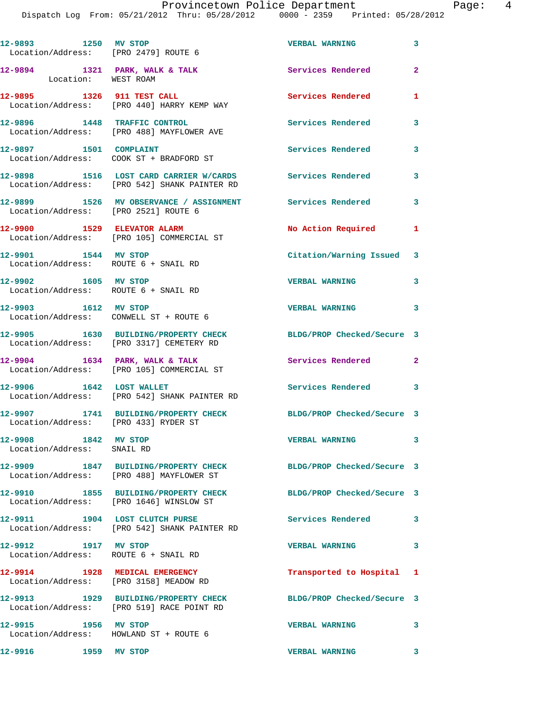| 12-9893 1250 MV STOP<br>Location/Address: [PRO 2479] ROUTE 6   |                                                                                                             | <b>VERBAL WARNING</b>      | 3            |
|----------------------------------------------------------------|-------------------------------------------------------------------------------------------------------------|----------------------------|--------------|
| 12-9894 1321 PARK, WALK & TALK<br>Location: WEST ROAM          |                                                                                                             | Services Rendered          | $\mathbf{2}$ |
| 12-9895 1326 911 TEST CALL                                     | Location/Address: [PRO 440] HARRY KEMP WAY                                                                  | Services Rendered          | $\mathbf{1}$ |
|                                                                | 12-9896 1448 TRAFFIC CONTROL<br>Location/Address: [PRO 488] MAYFLOWER AVE                                   | <b>Services Rendered</b>   | 3            |
| 12-9897 1501 COMPLAINT                                         | Location/Address: COOK ST + BRADFORD ST                                                                     | Services Rendered          | 3            |
|                                                                | 12-9898 1516 LOST CARD CARRIER W/CARDS<br>Location/Address: [PRO 542] SHANK PAINTER RD                      | Services Rendered          | 3            |
| Location/Address: [PRO 2521] ROUTE 6                           | 12-9899 1526 MV OBSERVANCE / ASSIGNMENT Services Rendered                                                   |                            | 3            |
|                                                                | 12-9900 1529 ELEVATOR ALARM<br>Location/Address: [PRO 105] COMMERCIAL ST                                    | No Action Required         | 1            |
| 12-9901 1544 MV STOP<br>Location/Address: ROUTE 6 + SNAIL RD   |                                                                                                             | Citation/Warning Issued 3  |              |
| 12-9902 1605 MV STOP<br>Location/Address: ROUTE 6 + SNAIL RD   |                                                                                                             | <b>VERBAL WARNING</b>      | 3            |
| 12-9903 1612 MV STOP                                           | Location/Address: CONWELL ST + ROUTE 6                                                                      | <b>VERBAL WARNING</b>      | 3            |
|                                                                | 12-9905 1630 BUILDING/PROPERTY CHECK<br>Location/Address: [PRO 3317] CEMETERY RD                            | BLDG/PROP Checked/Secure 3 |              |
|                                                                | $12-9904$ 1634 PARK, WALK & TALK<br>Location/Address: [PRO 105] COMMERCIAL ST                               | Services Rendered 2        |              |
| 12-9906 1642 LOST WALLET                                       | Location/Address: [PRO 542] SHANK PAINTER RD                                                                | Services Rendered 3        |              |
| Location/Address: [PRO 433] RYDER ST                           | 12-9907 1741 BUILDING/PROPERTY CHECK                                                                        | BLDG/PROP Checked/Secure 3 |              |
| 12-9908 1842 MV STOP<br>Location/Address: SNAIL RD             |                                                                                                             | <b>VERBAL WARNING</b>      | 3            |
|                                                                | 12-9909 1847 BUILDING/PROPERTY CHECK BLDG/PROP Checked/Secure 3<br>Location/Address: [PRO 488] MAYFLOWER ST |                            |              |
|                                                                | 12-9910 1855 BUILDING/PROPERTY CHECK<br>Location/Address: [PRO 1646] WINSLOW ST                             | BLDG/PROP Checked/Secure 3 |              |
|                                                                | 12-9911 1904 LOST CLUTCH PURSE<br>Location/Address: [PRO 542] SHANK PAINTER RD                              | Services Rendered 3        |              |
| 12-9912 1917 MV STOP<br>Location/Address: ROUTE 6 + SNAIL RD   |                                                                                                             | <b>VERBAL WARNING</b>      | 3            |
| 12-9914 1928 MEDICAL EMERGENCY                                 | Location/Address: [PRO 3158] MEADOW RD                                                                      | Transported to Hospital 1  |              |
|                                                                | 12-9913 1929 BUILDING/PROPERTY CHECK<br>Location/Address: [PRO 519] RACE POINT RD                           | BLDG/PROP Checked/Secure 3 |              |
| 12-9915 1956 MV STOP<br>Location/Address: HOWLAND ST + ROUTE 6 |                                                                                                             | <b>VERBAL WARNING</b>      | 3            |
| 12-9916 1959 MV STOP                                           |                                                                                                             | <b>VERBAL WARNING</b>      | 3            |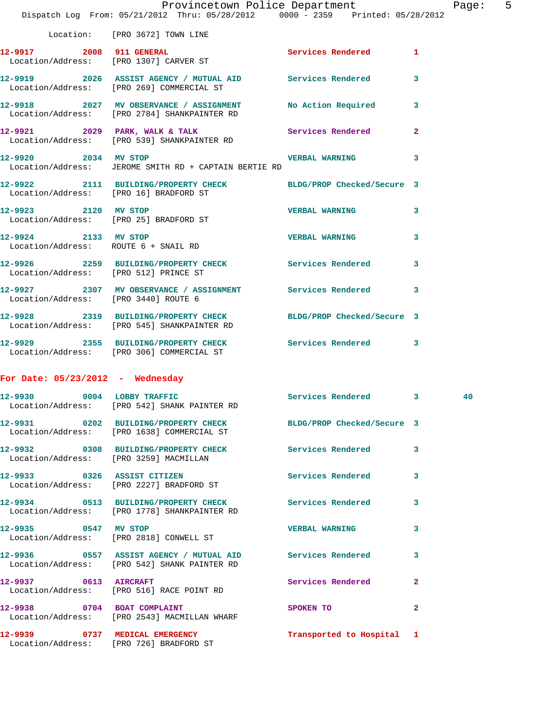|                                        | Provincetown Police Department The Rage: 5<br>Dispatch Log From: 05/21/2012 Thru: 05/28/2012 0000 - 2359 Printed: 05/28/2012 |                           |  |  |
|----------------------------------------|------------------------------------------------------------------------------------------------------------------------------|---------------------------|--|--|
|                                        | Location: [PRO 3672] TOWN LINE                                                                                               |                           |  |  |
|                                        | 12-9917 2008 911 GENERAL<br>Location/Address: [PRO 1307] CARVER ST                                                           | Services Rendered 1       |  |  |
|                                        | 12-9919 2026 ASSIST AGENCY / MUTUAL AID Services Rendered 3<br>Location/Address: [PRO 269] COMMERCIAL ST                     |                           |  |  |
|                                        | 12-9918 2027 MV OBSERVANCE / ASSIGNMENT No Action Required 3<br>Location/Address: [PRO 2784] SHANKPAINTER RD                 |                           |  |  |
|                                        | 12-9921 2029 PARK, WALK & TALK 2001 Services Rendered 2<br>Location/Address: [PRO 539] SHANKPAINTER RD                       |                           |  |  |
| 12-9920 2034 MV STOP                   | Location/Address: JEROME SMITH RD + CAPTAIN BERTIE RD                                                                        | VERBAL WARNING 3          |  |  |
| Location/Address: [PRO 16] BRADFORD ST | 12-9922 2111 BUILDING/PROPERTY CHECK BLDG/PROP Checked/Secure 3                                                              |                           |  |  |
|                                        | 12-9923 2120 MV STOP<br>Location/Address: [PRO 25] BRADFORD ST                                                               | VERBAL WARNING 3          |  |  |
| 12-9924 2133 MV STOP                   | Location/Address: ROUTE 6 + SNAIL RD                                                                                         | VERBAL WARNING 3          |  |  |
| Location/Address: [PRO 512] PRINCE ST  | 12-9926 2259 BUILDING/PROPERTY CHECK Services Rendered 3                                                                     |                           |  |  |
| Location/Address: [PRO 3440] ROUTE 6   | 12-9927 2307 MV OBSERVANCE / ASSIGNMENT Services Rendered 3                                                                  |                           |  |  |
|                                        | 12-9928 2319 BUILDING/PROPERTY CHECK BLDG/PROP Checked/Secure 3<br>Location/Address: [PRO 545] SHANKPAINTER RD               |                           |  |  |
|                                        | 12-9929 2355 BUILDING/PROPERTY CHECK Services Rendered 3<br>Location/Address: [PRO 306] COMMERCIAL ST                        |                           |  |  |
| For Date: $05/23/2012$ - Wednesday     |                                                                                                                              |                           |  |  |
| 12-9930                                | 0004 LOBBY TRAFFIC<br>Location/Address: [PRO 542] SHANK PAINTER RD                                                           | Services Rendered 3 3 40  |  |  |
|                                        | 12-9931 0202 BUILDING/PROPERTY CHECK BLDG/PROP Checked/Secure 3<br>Location/Address: [PRO 1638] COMMERCIAL ST                |                           |  |  |
|                                        | 12-9932 0308 BUILDING/PROPERTY CHECK Services Rendered 3<br>Location/Address: [PRO 3259] MACMILLAN                           |                           |  |  |
|                                        | 12-9933 0326 ASSIST CITIZEN<br>Location/Address: [PRO 2227] BRADFORD ST                                                      | Services Rendered 3       |  |  |
|                                        | 12-9934 0513 BUILDING/PROPERTY CHECK Services Rendered 3<br>Location/Address: [PRO 1778] SHANKPAINTER RD                     |                           |  |  |
| 12-9935 0547 MV STOP                   | Location/Address: [PRO 2818] CONWELL ST                                                                                      | VERBAL WARNING 3          |  |  |
|                                        | 12-9936 0557 ASSIST AGENCY / MUTUAL AID Services Rendered 3<br>Location/Address: [PRO 542] SHANK PAINTER RD                  |                           |  |  |
|                                        | 12-9937 0613 AIRCRAFT<br>Location/Address: [PRO 516] RACE POINT RD                                                           | Services Rendered 2       |  |  |
|                                        | 12-9938 0704 BOAT COMPLAINT<br>Location/Address: [PRO 2543] MACMILLAN WHARF                                                  | SPOKEN TO 2               |  |  |
|                                        | 12-9939 0737 MEDICAL EMERGENCY<br>Location/Address: [PRO 726] BRADFORD ST                                                    | Transported to Hospital 1 |  |  |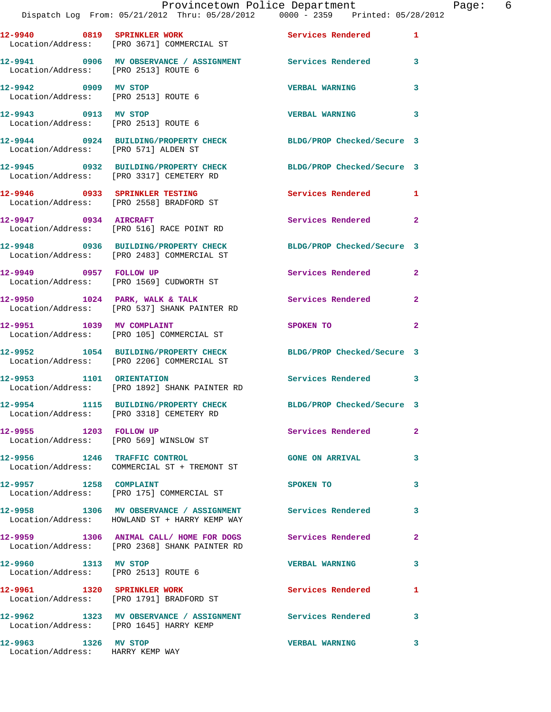|                                      | Dispatch Log From: 05/21/2012 Thru: 05/28/2012   0000 - 2359   Printed: 05/28/2012                            | Provincetown Police Department          |              | Page: 6 |  |
|--------------------------------------|---------------------------------------------------------------------------------------------------------------|-----------------------------------------|--------------|---------|--|
|                                      | 12-9940 0819 SPRINKLER WORK Services Rendered 1<br>Location/Address: [PRO 3671] COMMERCIAL ST                 |                                         |              |         |  |
| Location/Address: [PRO 2513] ROUTE 6 | 12-9941 0906 MV OBSERVANCE / ASSIGNMENT Services Rendered 3                                                   |                                         |              |         |  |
| 12-9942 0909 MV STOP                 | Location/Address: [PRO 2513] ROUTE 6                                                                          | <b>VERBAL WARNING</b>                   | 3            |         |  |
|                                      | 12-9943 0913 MV STOP<br>Location/Address: [PRO 2513] ROUTE 6                                                  | <b>VERBAL WARNING</b>                   | $\mathbf{3}$ |         |  |
| Location/Address: [PRO 571] ALDEN ST | 12-9944 0924 BUILDING/PROPERTY CHECK BLDG/PROP Checked/Secure 3                                               |                                         |              |         |  |
|                                      | 12-9945 0932 BUILDING/PROPERTY CHECK BLDG/PROP Checked/Secure 3<br>Location/Address: [PRO 3317] CEMETERY RD   |                                         |              |         |  |
|                                      | 12-9946 0933 SPRINKLER TESTING<br>Location/Address: [PRO 2558] BRADFORD ST                                    | Services Rendered 1                     |              |         |  |
|                                      | 12-9947 0934 AIRCRAFT<br>Location/Address: [PRO 516] RACE POINT RD                                            | Services Rendered                       | $\mathbf{2}$ |         |  |
|                                      | 12-9948 0936 BUILDING/PROPERTY CHECK BLDG/PROP Checked/Secure 3<br>Location/Address: [PRO 2483] COMMERCIAL ST |                                         |              |         |  |
|                                      | 12-9949 0957 FOLLOW UP<br>Location/Address: [PRO 1569] CUDWORTH ST                                            | Services Rendered 2                     |              |         |  |
|                                      | 12-9950 1024 PARK, WALK & TALK 1999 Services Rendered 2<br>Location/Address: [PRO 537] SHANK PAINTER RD       |                                         |              |         |  |
|                                      | 12-9951 1039 MV COMPLAINT<br>Location/Address: [PRO 105] COMMERCIAL ST                                        | SPOKEN TO DESCRIPTION OF REAL PROPERTY. | 2            |         |  |
|                                      | 12-9952 1054 BUILDING/PROPERTY CHECK BLDG/PROP Checked/Secure 3<br>Location/Address: [PRO 2206] COMMERCIAL ST |                                         |              |         |  |
|                                      | 12-9953 1101 ORIENTATION<br>Location/Address: [PRO 1892] SHANK PAINTER RD                                     | Services Rendered 3                     |              |         |  |
|                                      | 12-9954 1115 BUILDING/PROPERTY CHECK<br>Location/Address: [PRO 3318] CEMETERY RD                              | BLDG/PROP Checked/Secure 3              |              |         |  |
|                                      | 12-9955 1203 FOLLOW UP<br>Location/Address: [PRO 569] WINSLOW ST                                              | <b>Services Rendered</b>                | $\mathbf{2}$ |         |  |
|                                      | 12-9956 1246 TRAFFIC CONTROL<br>Location/Address: COMMERCIAL ST + TREMONT ST                                  | <b>GONE ON ARRIVAL</b>                  | 3            |         |  |
|                                      | 12-9957 1258 COMPLAINT<br>Location/Address: [PRO 175] COMMERCIAL ST                                           | SPOKEN TO                               | 3            |         |  |
|                                      | 12-9958 1306 MV OBSERVANCE / ASSIGNMENT Services Rendered 3<br>Location/Address: HOWLAND ST + HARRY KEMP WAY  |                                         |              |         |  |
|                                      | 12-9959 1306 ANIMAL CALL/ HOME FOR DOGS Services Rendered<br>Location/Address: [PRO 2368] SHANK PAINTER RD    |                                         | $\mathbf{2}$ |         |  |
| 12-9960 1313 MV STOP                 | Location/Address: [PRO 2513] ROUTE 6                                                                          | <b>VERBAL WARNING</b>                   | 3            |         |  |
|                                      | 12-9961 1320 SPRINKLER WORK<br>Location/Address: [PRO 1791] BRADFORD ST                                       | Services Rendered                       | 1            |         |  |

**12-9962 1323 MV OBSERVANCE / ASSIGNMENT Services Rendered 3**  Location/Address: [PRO 1645] HARRY KEMP **12-9963 1326 MV STOP VERBAL WARNING 3** 

Location/Address: HARRY KEMP WAY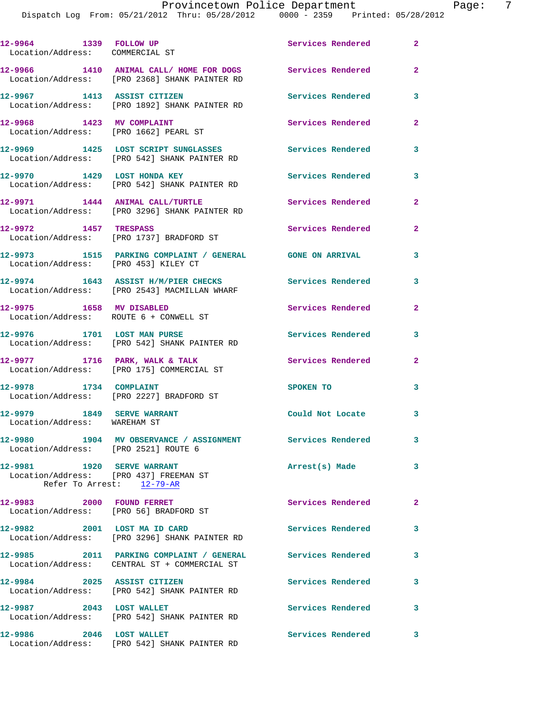| 12-9964 1339 FOLLOW UP<br>Location/Address: COMMERCIAL ST            |                                                                                                           | Services Rendered        | $\overline{2}$ |
|----------------------------------------------------------------------|-----------------------------------------------------------------------------------------------------------|--------------------------|----------------|
|                                                                      | 12-9966 1410 ANIMAL CALL/HOME FOR DOGS Services Rendered<br>Location/Address: [PRO 2368] SHANK PAINTER RD |                          | $\overline{a}$ |
| 12-9967 1413 ASSIST CITIZEN                                          | Location/Address: [PRO 1892] SHANK PAINTER RD                                                             | Services Rendered        | 3              |
| 12-9968 1423 MV COMPLAINT                                            | Location/Address: [PRO 1662] PEARL ST                                                                     | Services Rendered        | $\mathbf{2}$   |
|                                                                      | 12-9969 1425 LOST SCRIPT SUNGLASSES Services Rendered<br>Location/Address: [PRO 542] SHANK PAINTER RD     |                          | 3              |
|                                                                      | 12-9970 1429 LOST HONDA KEY<br>Location/Address: [PRO 542] SHANK PAINTER RD                               | <b>Services Rendered</b> | 3              |
|                                                                      | 12-9971 1444 ANIMAL CALL/TURTLE<br>Location/Address: [PRO 3296] SHANK PAINTER RD                          | Services Rendered        | $\mathbf{2}$   |
| 12-9972 1457 TRESPASS                                                | Location/Address: [PRO 1737] BRADFORD ST                                                                  | Services Rendered        | $\mathbf{2}$   |
| Location/Address: [PRO 453] KILEY CT                                 | 12-9973 1515 PARKING COMPLAINT / GENERAL GONE ON ARRIVAL                                                  |                          | 3              |
|                                                                      | 12-9974 1643 ASSIST H/M/PIER CHECKS<br>Location/Address: [PRO 2543] MACMILLAN WHARF                       | <b>Services Rendered</b> | 3              |
| 12-9975 1658 MV DISABLED                                             | Location/Address: ROUTE 6 + CONWELL ST                                                                    | Services Rendered        | $\overline{a}$ |
|                                                                      | 12-9976 1701 LOST MAN PURSE<br>Location/Address: [PRO 542] SHANK PAINTER RD                               | <b>Services Rendered</b> | 3              |
|                                                                      | $12-9977$ 1716 PARK, WALK & TALK<br>Location/Address: [PRO 175] COMMERCIAL ST                             | <b>Services Rendered</b> | $\mathbf{2}$   |
| 12-9978 1734 COMPLAINT                                               | Location/Address: [PRO 2227] BRADFORD ST                                                                  | SPOKEN TO                | 3              |
| 12-9979 1849 SERVE WARRANT<br>Location/Address: WAREHAM ST           |                                                                                                           | Could Not Locate         | 3              |
| Location/Address: [PRO 2521] ROUTE 6                                 | 12-9980 1904 MV OBSERVANCE / ASSIGNMENT Services Rendered                                                 |                          | 3              |
| 12-9981 1920 SERVE WARRANT<br>Location/Address: [PRO 437] FREEMAN ST | Refer To Arrest: 12-79-AR                                                                                 | Arrest(s) Made           | 3              |
| 12-9983 2000 FOUND FERRET<br>Location/Address: [PRO 56] BRADFORD ST  |                                                                                                           | Services Rendered        | $\mathbf{2}$   |
| 12-9982 2001 LOST MA ID CARD                                         | Location/Address: [PRO 3296] SHANK PAINTER RD                                                             | <b>Services Rendered</b> | 3              |
|                                                                      | 12-9985 2011 PARKING COMPLAINT / GENERAL<br>Location/Address: CENTRAL ST + COMMERCIAL ST                  | <b>Services Rendered</b> | 3              |
| 12-9984 2025 ASSIST CITIZEN                                          | Location/Address: [PRO 542] SHANK PAINTER RD                                                              | <b>Services Rendered</b> | 3              |
| 12-9987 2043 LOST WALLET                                             | Location/Address: [PRO 542] SHANK PAINTER RD                                                              | Services Rendered        | 3              |
| 12-9986 2046 LOST WALLET                                             | Location/Address: [PRO 542] SHANK PAINTER RD                                                              | <b>Services Rendered</b> | 3              |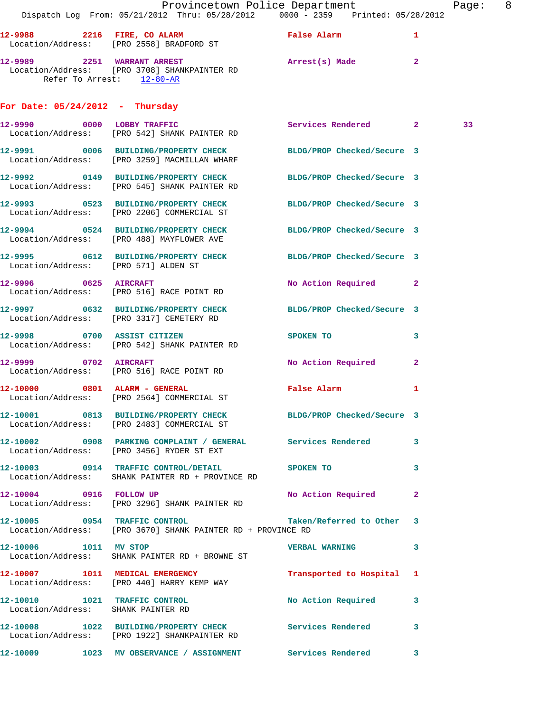|                                                          | Dispatch Log From: 05/21/2012 Thru: 05/28/2012 0000 - 2359 Printed: 05/28/2012                                  | Provincetown Police Department        |              | Page: 8 |  |
|----------------------------------------------------------|-----------------------------------------------------------------------------------------------------------------|---------------------------------------|--------------|---------|--|
|                                                          | 12-9988 2216 FIRE, CO ALARM<br>Location/Address: [PRO 2558] BRADFORD ST                                         | False Alarm                           | 1            |         |  |
| 12-9989 2251 WARRANT ARREST<br>Refer To Arrest: 12-80-AR | Location/Address: [PRO 3708] SHANKPAINTER RD                                                                    | Arrest(s) Made 2                      |              |         |  |
| For Date: $05/24/2012$ - Thursday                        |                                                                                                                 |                                       |              |         |  |
|                                                          | 12-9990 0000 LOBBY TRAFFIC<br>Location/Address: [PRO 542] SHANK PAINTER RD                                      | Services Rendered 2                   |              | 33      |  |
|                                                          | 12-9991 0006 BUILDING/PROPERTY CHECK BLDG/PROP Checked/Secure 3<br>Location/Address: [PRO 3259] MACMILLAN WHARF |                                       |              |         |  |
|                                                          | 12-9992 0149 BUILDING/PROPERTY CHECK BLDG/PROP Checked/Secure 3<br>Location/Address: [PRO 545] SHANK PAINTER RD |                                       |              |         |  |
|                                                          | 12-9993 0523 BUILDING/PROPERTY CHECK BLDG/PROP Checked/Secure 3<br>Location/Address: [PRO 2206] COMMERCIAL ST   |                                       |              |         |  |
|                                                          | 12-9994 0524 BUILDING/PROPERTY CHECK<br>Location/Address: [PRO 488] MAYFLOWER AVE                               | BLDG/PROP Checked/Secure 3            |              |         |  |
|                                                          | 12-9995 0612 BUILDING/PROPERTY CHECK BLDG/PROP Checked/Secure 3<br>Location/Address: [PRO 571] ALDEN ST         |                                       |              |         |  |
|                                                          | 12-9996 0625 AIRCRAFT<br>Location/Address: [PRO 516] RACE POINT RD                                              | No Action Required 2                  |              |         |  |
|                                                          | 12-9997 0632 BUILDING/PROPERTY CHECK BLDG/PROP Checked/Secure 3<br>Location/Address: [PRO 3317] CEMETERY RD     |                                       |              |         |  |
|                                                          | 12-9998 0700 ASSIST CITIZEN<br>Location/Address: [PRO 542] SHANK PAINTER RD                                     | SPOKEN TO THE SPOKEN OF THE SPOKEN TO | 3            |         |  |
| 12-9999 0702 AIRCRAFT                                    | Location/Address: [PRO 516] RACE POINT RD                                                                       | No Action Required 2                  |              |         |  |
|                                                          | 12-10000 0801 ALARM - GENERAL<br>Location/Address: [PRO 2564] COMMERCIAL ST                                     | False Alarm                           | $\mathbf{1}$ |         |  |
|                                                          | 12-10001 0813 BUILDING/PROPERTY CHECK BLDG/PROP Checked/Secure 3<br>Location/Address: [PRO 2483] COMMERCIAL ST  |                                       |              |         |  |
|                                                          | 12-10002 0908 PARKING COMPLAINT / GENERAL Services Rendered 3<br>Location/Address: [PRO 3456] RYDER ST EXT      |                                       |              |         |  |
|                                                          | 12-10003 0914 TRAFFIC CONTROL/DETAIL SPOKEN TO<br>Location/Address: SHANK PAINTER RD + PROVINCE RD              |                                       | $\mathbf{3}$ |         |  |
| 12-10004 0916 FOLLOW UP                                  | Location/Address: [PRO 3296] SHANK PAINTER RD                                                                   | No Action Required                    | $\mathbf{2}$ |         |  |
| 12-10005 0954 TRAFFIC CONTROL                            | Location/Address: [PRO 3670] SHANK PAINTER RD + PROVINCE RD                                                     | Taken/Referred to Other 3             |              |         |  |
| 12-10006 1011 MV STOP                                    | Location/Address: SHANK PAINTER RD + BROWNE ST                                                                  | <b>VERBAL WARNING</b>                 | 3            |         |  |
|                                                          | 12-10007 1011 MEDICAL EMERGENCY<br>Location/Address: [PRO 440] HARRY KEMP WAY                                   | Transported to Hospital 1             |              |         |  |
|                                                          | 12-10010 1021 TRAFFIC CONTROL<br>Location/Address: SHANK PAINTER RD                                             | No Action Required                    | 3            |         |  |
|                                                          | 12-10008 1022 BUILDING/PROPERTY CHECK Services Rendered<br>Location/Address: [PRO 1922] SHANKPAINTER RD         |                                       | 3            |         |  |
|                                                          | 12-10009 1023 MV OBSERVANCE / ASSIGNMENT Services Rendered 3                                                    |                                       |              |         |  |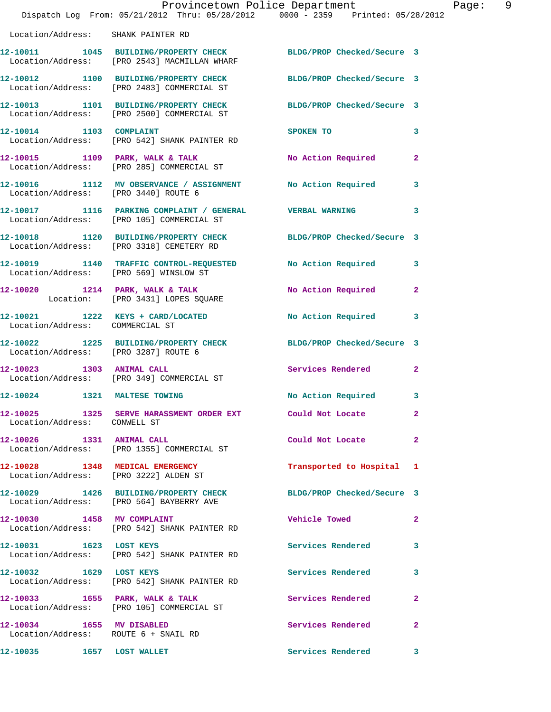|                                                                   | Dispatch Log From: 05/21/2012 Thru: 05/28/2012 0000 - 2359 Printed: 05/28/2012                                   | Provincetown Police Department | Ρa             |
|-------------------------------------------------------------------|------------------------------------------------------------------------------------------------------------------|--------------------------------|----------------|
| Location/Address: SHANK PAINTER RD                                |                                                                                                                  |                                |                |
|                                                                   | 12-10011 1045 BUILDING/PROPERTY CHECK BLDG/PROP Checked/Secure 3<br>Location/Address: [PRO 2543] MACMILLAN WHARF |                                |                |
|                                                                   | 12-10012 1100 BUILDING/PROPERTY CHECK BLDG/PROP Checked/Secure 3<br>Location/Address: [PRO 2483] COMMERCIAL ST   |                                |                |
|                                                                   | 12-10013 1101 BUILDING/PROPERTY CHECK BLDG/PROP Checked/Secure 3<br>Location/Address: [PRO 2500] COMMERCIAL ST   |                                |                |
| 12-10014 1103 COMPLAINT                                           | Location/Address: [PRO 542] SHANK PAINTER RD                                                                     | <b>SPOKEN TO</b>               | 3              |
|                                                                   | 12-10015 1109 PARK, WALK & TALK<br>Location/Address: [PRO 285] COMMERCIAL ST                                     | <b>No Action Required</b>      | $\overline{2}$ |
| Location/Address: [PRO 3440] ROUTE 6                              | 12-10016 1112 MV OBSERVANCE / ASSIGNMENT No Action Required                                                      |                                | 3              |
|                                                                   | 12-10017 1116 PARKING COMPLAINT / GENERAL VERBAL WARNING<br>Location/Address: [PRO 105] COMMERCIAL ST            |                                | 3              |
|                                                                   | 12-10018 1120 BUILDING/PROPERTY CHECK BLDG/PROP Checked/Secure 3<br>Location/Address: [PRO 3318] CEMETERY RD     |                                |                |
|                                                                   | 12-10019   1140 TRAFFIC CONTROL-REQUESTED   No Action Required<br>Location/Address: [PRO 569] WINSLOW ST         |                                | 3              |
|                                                                   | 12-10020 1214 PARK, WALK & TALK<br>Location: [PRO 3431] LOPES SQUARE                                             | <b>No Action Required</b>      | $\mathbf{2}$   |
| Location/Address: COMMERCIAL ST                                   | 12-10021 1222 KEYS + CARD/LOCATED                                                                                | <b>No Action Required</b>      | 3              |
| Location/Address: [PRO 3287] ROUTE 6                              | 12-10022 1225 BUILDING/PROPERTY CHECK BLDG/PROP Checked/Secure 3                                                 |                                |                |
|                                                                   | 12-10023 1303 ANIMAL CALL<br>Location/Address: [PRO 349] COMMERCIAL ST                                           | Services Rendered 2            |                |
|                                                                   | 12-10024 1321 MALTESE TOWING                                                                                     | No Action Required 3           |                |
| Location/Address: CONWELL ST                                      | 12-10025 1325 SERVE HARASSMENT ORDER EXT Could Not Locate                                                        |                                | 2              |
| 12-10026 1331 ANIMAL CALL                                         | Location/Address: [PRO 1355] COMMERCIAL ST                                                                       | Could Not Locate               | $\mathbf{2}$   |
|                                                                   | 12-10028 1348 MEDICAL EMERGENCY<br>Location/Address: [PRO 3222] ALDEN ST                                         | Transported to Hospital 1      |                |
|                                                                   | 12-10029 1426 BUILDING/PROPERTY CHECK BLDG/PROP Checked/Secure 3<br>Location/Address: [PRO 564] BAYBERRY AVE     |                                |                |
|                                                                   | 12-10030 1458 MV COMPLAINT<br>Location/Address: [PRO 542] SHANK PAINTER RD                                       | <b>Vehicle Towed</b>           | $\mathbf{2}$   |
| 12-10031 1623 LOST KEYS                                           | Location/Address: [PRO 542] SHANK PAINTER RD                                                                     | Services Rendered              | 3              |
| 12-10032 1629 LOST KEYS                                           | Location/Address: [PRO 542] SHANK PAINTER RD                                                                     | Services Rendered              | 3              |
| $12-10033$ 1655 PARK, WALK & TALK                                 | Location/Address: [PRO 105] COMMERCIAL ST                                                                        | Services Rendered              | $\mathbf{2}$   |
| 12-10034 1655 MV DISABLED<br>Location/Address: ROUTE 6 + SNAIL RD |                                                                                                                  | Services Rendered              | $\mathbf{2}$   |
| 12-10035 1657 LOST WALLET                                         |                                                                                                                  | Services Rendered 3            |                |

age: 9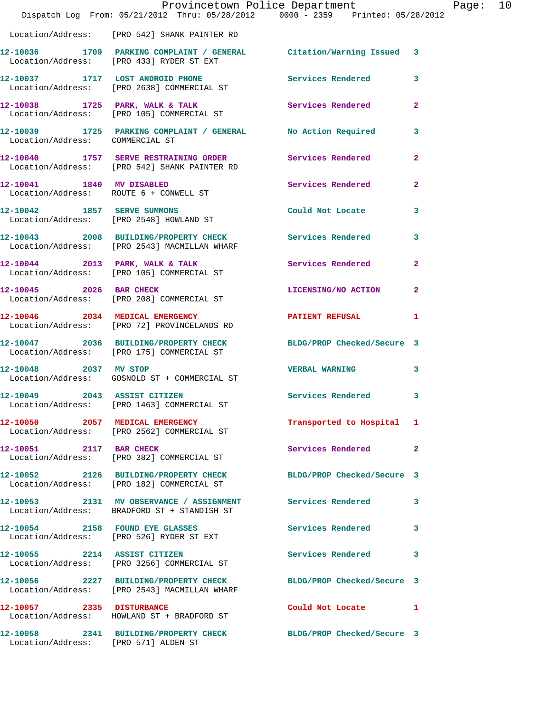|                                      | Provincetown Police Department                                                                                |                            |                |
|--------------------------------------|---------------------------------------------------------------------------------------------------------------|----------------------------|----------------|
|                                      | Dispatch Log From: 05/21/2012 Thru: 05/28/2012 0000 - 2359 Printed: 05/28/2012                                |                            |                |
|                                      | Location/Address: [PRO 542] SHANK PAINTER RD                                                                  |                            |                |
|                                      | 12-10036 1709 PARKING COMPLAINT / GENERAL Citation/Warning Issued<br>Location/Address: [PRO 433] RYDER ST EXT |                            | 3              |
|                                      | 12-10037 1717 LOST ANDROID PHONE<br>Location/Address: [PRO 2638] COMMERCIAL ST                                | <b>Services Rendered</b>   | 3              |
|                                      | 12-10038 1725 PARK, WALK & TALK<br>Location/Address: [PRO 105] COMMERCIAL ST                                  | Services Rendered          | $\overline{a}$ |
| Location/Address: COMMERCIAL ST      | 12-10039 1725 PARKING COMPLAINT / GENERAL No Action Required                                                  |                            | 3              |
|                                      | 12-10040 1757 SERVE RESTRAINING ORDER Services Rendered<br>Location/Address: [PRO 542] SHANK PAINTER RD       |                            | $\mathbf{2}$   |
|                                      | 12-10041 1840 MV DISABLED<br>Location/Address: ROUTE 6 + CONWELL ST                                           | Services Rendered          | $\mathbf{2}$   |
|                                      | 12-10042 1857 SERVE SUMMONS<br>Location/Address: [PRO 2548] HOWLAND ST                                        | Could Not Locate           | 3              |
|                                      | 12-10043 2008 BUILDING/PROPERTY CHECK<br>Location/Address: [PRO 2543] MACMILLAN WHARF                         | <b>Services Rendered</b>   | 3              |
|                                      | 12-10044 2013 PARK, WALK & TALK<br>Location/Address: [PRO 105] COMMERCIAL ST                                  | Services Rendered          | 2              |
| 12-10045 2026 BAR CHECK              | Location/Address: [PRO 208] COMMERCIAL ST                                                                     | LICENSING/NO ACTION        | $\overline{a}$ |
|                                      | 12-10046 2034 MEDICAL EMERGENCY<br>Location/Address: [PRO 72] PROVINCELANDS RD                                | <b>PATIENT REFUSAL</b>     | 1              |
|                                      | 12-10047 2036 BUILDING/PROPERTY CHECK<br>Location/Address: [PRO 175] COMMERCIAL ST                            | BLDG/PROP Checked/Secure 3 |                |
| 12-10048 2037 MV STOP                | Location/Address: GOSNOLD ST + COMMERCIAL ST                                                                  | <b>VERBAL WARNING</b>      | 3              |
| 12-10049 2043 ASSIST CITIZEN         | Location/Address: [PRO 1463] COMMERCIAL ST                                                                    | <b>Services Rendered</b>   | 3              |
|                                      | 12-10050 2057 MEDICAL EMERGENCY<br>Location/Address: [PRO 2562] COMMERCIAL ST                                 | Transported to Hospital    | ı              |
| 12-10051 2117 BAR CHECK              | Location/Address: [PRO 382] COMMERCIAL ST                                                                     | Services Rendered          | $\mathbf{2}$   |
|                                      | 12-10052 2126 BUILDING/PROPERTY CHECK<br>Location/Address: [PRO 182] COMMERCIAL ST                            | BLDG/PROP Checked/Secure 3 |                |
|                                      | 12-10053 2131 MV OBSERVANCE / ASSIGNMENT<br>Location/Address: BRADFORD ST + STANDISH ST                       | Services Rendered          | 3              |
|                                      | 12-10054 2158 FOUND EYE GLASSES<br>Location/Address: [PRO 526] RYDER ST EXT                                   | <b>Services Rendered</b>   | з              |
|                                      | 12-10055 2214 ASSIST CITIZEN<br>Location/Address: [PRO 3256] COMMERCIAL ST                                    | Services Rendered          | 3              |
|                                      | 12-10056 2227 BUILDING/PROPERTY CHECK<br>Location/Address: [PRO 2543] MACMILLAN WHARF                         | BLDG/PROP Checked/Secure 3 |                |
| 12-10057 2335 DISTURBANCE            | Location/Address: HOWLAND ST + BRADFORD ST                                                                    | Could Not Locate           | 1              |
| Location/Address: [PRO 571] ALDEN ST | 12-10058 2341 BUILDING/PROPERTY CHECK                                                                         | BLDG/PROP Checked/Secure 3 |                |

Page:  $10$ <br> $2$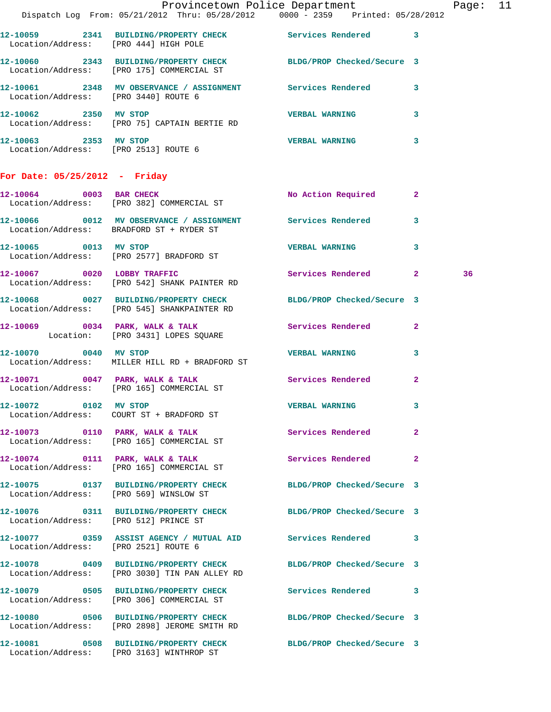| Provincetown Police Department Page: 11<br>Dispatch Log From: 05/21/2012 Thru: 05/28/2012 0000 - 2359 Printed: 05/28/2012<br>12-10059 2341 BUILDING/PROPERTY CHECK Services Rendered 3<br>Location/Address: [PRO 444] HIGH POLE<br>12-10060 2343 BUILDING/PROPERTY CHECK BLDG/PROP Checked/Secure 3<br>Location/Address: [PRO 175] COMMERCIAL ST<br>12-10061 2348 MV OBSERVANCE / ASSIGNMENT Services Rendered 3<br>Location/Address: [PRO 3440] ROUTE 6<br>12-10062 2350 MV STOP<br>Location/Address: [PRO 75] CAPTAIN BERTIE RD<br>12-10063 2353 MV STOP<br>Location/Address: [PRO 2513] ROUTE 6 |                                                                                                                   | VERBAL WARNING 3<br>VERBAL WARNING 3 |              |    |  |
|----------------------------------------------------------------------------------------------------------------------------------------------------------------------------------------------------------------------------------------------------------------------------------------------------------------------------------------------------------------------------------------------------------------------------------------------------------------------------------------------------------------------------------------------------------------------------------------------------|-------------------------------------------------------------------------------------------------------------------|--------------------------------------|--------------|----|--|
|                                                                                                                                                                                                                                                                                                                                                                                                                                                                                                                                                                                                    | For Date: $05/25/2012$ - Friday<br>12-10064 0003 BAR CHECK<br>Location/Address: [PRO 382] COMMERCIAL ST           | No Action Required 2                 |              |    |  |
|                                                                                                                                                                                                                                                                                                                                                                                                                                                                                                                                                                                                    | 12-10066 0012 MV OBSERVANCE / ASSIGNMENT Services Rendered 3<br>Location/Address: BRADFORD ST + RYDER ST          |                                      |              |    |  |
|                                                                                                                                                                                                                                                                                                                                                                                                                                                                                                                                                                                                    | 12-10065 0013 MV STOP<br>Location/Address: [PRO 2577] BRADFORD ST                                                 | <b>VERBAL WARNING</b>                | $\mathbf{3}$ |    |  |
|                                                                                                                                                                                                                                                                                                                                                                                                                                                                                                                                                                                                    | 12-10067 0020 LOBBY TRAFFIC<br>Location/Address: [PRO 542] SHANK PAINTER RD                                       | Services Rendered 2                  |              | 36 |  |
|                                                                                                                                                                                                                                                                                                                                                                                                                                                                                                                                                                                                    | 12-10068 0027 BUILDING/PROPERTY CHECK BLDG/PROP Checked/Secure 3<br>Location/Address: [PRO 545] SHANKPAINTER RD   |                                      |              |    |  |
|                                                                                                                                                                                                                                                                                                                                                                                                                                                                                                                                                                                                    | 12-10069 0034 PARK, WALK & TALK Services Rendered 2<br>Location: [PRO 3431] LOPES SQUARE                          |                                      |              |    |  |
| 12-10070 0040 MV STOP                                                                                                                                                                                                                                                                                                                                                                                                                                                                                                                                                                              | Location/Address: MILLER HILL RD + BRADFORD ST                                                                    | VERBAL WARNING 3                     |              |    |  |
|                                                                                                                                                                                                                                                                                                                                                                                                                                                                                                                                                                                                    | 12-10071 0047 PARK, WALK & TALK Services Rendered<br>Location/Address: [PRO 165] COMMERCIAL ST                    |                                      | $\mathbf{2}$ |    |  |
|                                                                                                                                                                                                                                                                                                                                                                                                                                                                                                                                                                                                    | 12-10072 0102 MV STOP<br>Location/Address: COURT ST + BRADFORD ST                                                 | <b>VERBAL WARNING</b>                |              |    |  |
|                                                                                                                                                                                                                                                                                                                                                                                                                                                                                                                                                                                                    | 12-10073 0110 PARK, WALK & TALK Services Rendered 2<br>Location/Address: [PRO 165] COMMERCIAL ST                  |                                      |              |    |  |
|                                                                                                                                                                                                                                                                                                                                                                                                                                                                                                                                                                                                    | 12-10074 0111 PARK, WALK & TALK<br>Location/Address: [PRO 165] COMMERCIAL ST                                      | <b>Services Rendered</b> 2           |              |    |  |
|                                                                                                                                                                                                                                                                                                                                                                                                                                                                                                                                                                                                    | 12-10075 0137 BUILDING/PROPERTY CHECK BLDG/PROP Checked/Secure 3<br>Location/Address: [PRO 569] WINSLOW ST        |                                      |              |    |  |
|                                                                                                                                                                                                                                                                                                                                                                                                                                                                                                                                                                                                    | 12-10076 0311 BUILDING/PROPERTY CHECK BLDG/PROP Checked/Secure 3<br>Location/Address: [PRO 512] PRINCE ST         |                                      |              |    |  |
|                                                                                                                                                                                                                                                                                                                                                                                                                                                                                                                                                                                                    | 12-10077 0359 ASSIST AGENCY / MUTUAL AID Services Rendered 3<br>Location/Address: [PRO 2521] ROUTE 6              |                                      |              |    |  |
|                                                                                                                                                                                                                                                                                                                                                                                                                                                                                                                                                                                                    | 12-10078 0409 BUILDING/PROPERTY CHECK BLDG/PROP Checked/Secure 3<br>Location/Address: [PRO 3030] TIN PAN ALLEY RD |                                      |              |    |  |
|                                                                                                                                                                                                                                                                                                                                                                                                                                                                                                                                                                                                    | 12-10079 0505 BUILDING/PROPERTY CHECK Services Rendered 3<br>Location/Address: [PRO 306] COMMERCIAL ST            |                                      |              |    |  |
|                                                                                                                                                                                                                                                                                                                                                                                                                                                                                                                                                                                                    | 12-10080 0506 BUILDING/PROPERTY CHECK BLDG/PROP Checked/Secure 3<br>Location/Address: [PRO 2898] JEROME SMITH RD  |                                      |              |    |  |
|                                                                                                                                                                                                                                                                                                                                                                                                                                                                                                                                                                                                    | 12-10081 0508 BUILDING/PROPERTY CHECK BLDG/PROP Checked/Secure 3<br>Location/Address: [PRO 3163] WINTHROP ST      |                                      |              |    |  |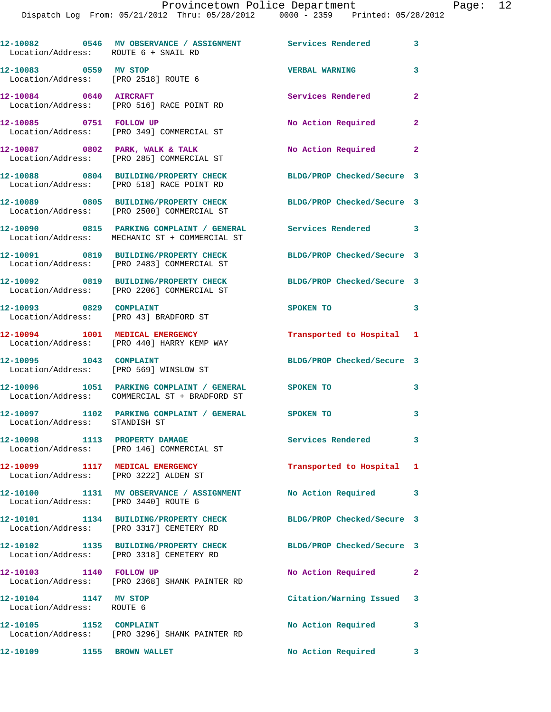| Location/Address: ROUTE 6 + SNAIL RD                          | 12-10082 0546 MV OBSERVANCE / ASSIGNMENT Services Rendered 3                               |                            |                          |
|---------------------------------------------------------------|--------------------------------------------------------------------------------------------|----------------------------|--------------------------|
| 12-10083 0559 MV STOP<br>Location/Address: [PRO 2518] ROUTE 6 |                                                                                            | <b>VERBAL WARNING</b>      | 3                        |
| 12-10084 0640 AIRCRAFT                                        | Location/Address: [PRO 516] RACE POINT RD                                                  | Services Rendered          | $\overline{2}$           |
| 12-10085 0751 FOLLOW UP                                       | Location/Address: [PRO 349] COMMERCIAL ST                                                  | No Action Required         | $\mathbf{2}$             |
|                                                               | $12-10087$ 0802 PARK, WALK & TALK<br>Location/Address: [PRO 285] COMMERCIAL ST             | No Action Required         | $\mathbf{2}$             |
|                                                               | 12-10088 0804 BUILDING/PROPERTY CHECK<br>Location/Address: [PRO 518] RACE POINT RD         | BLDG/PROP Checked/Secure 3 |                          |
|                                                               | 12-10089 0805 BUILDING/PROPERTY CHECK<br>Location/Address: [PRO 2500] COMMERCIAL ST        | BLDG/PROP Checked/Secure 3 |                          |
|                                                               | 12-10090 0815 PARKING COMPLAINT / GENERAL<br>Location/Address: MECHANIC ST + COMMERCIAL ST | Services Rendered 3        |                          |
|                                                               | 12-10091 0819 BUILDING/PROPERTY CHECK<br>Location/Address: [PRO 2483] COMMERCIAL ST        | BLDG/PROP Checked/Secure 3 |                          |
|                                                               | 12-10092 0819 BUILDING/PROPERTY CHECK<br>Location/Address: [PRO 2206] COMMERCIAL ST        | BLDG/PROP Checked/Secure 3 |                          |
| 12-10093 0829 COMPLAINT                                       | Location/Address: [PRO 43] BRADFORD ST                                                     | SPOKEN TO                  | $\overline{\phantom{a}}$ |
|                                                               | 12-10094 1001 MEDICAL EMERGENCY<br>Location/Address: [PRO 440] HARRY KEMP WAY              | Transported to Hospital 1  |                          |
| 12-10095 1043 COMPLAINT                                       | Location/Address: [PRO 569] WINSLOW ST                                                     | BLDG/PROP Checked/Secure 3 |                          |
|                                                               | 12-10096 1051 PARKING COMPLAINT / GENERAL<br>Location/Address: COMMERCIAL ST + BRADFORD ST | SPOKEN TO                  | 3                        |
|                                                               | 12-10097 1102 PARKING COMPLAINT / GENERAL SPOKEN TO<br>Location/Address: STANDISH ST       |                            | 3                        |
|                                                               | 12-10098 1113 PROPERTY DAMAGE<br>Location/Address: [PRO 146] COMMERCIAL ST                 | Services Rendered          | $\overline{\mathbf{3}}$  |
| 12-10099 1117 MEDICAL EMERGENCY                               | Location/Address: [PRO 3222] ALDEN ST                                                      | Transported to Hospital 1  |                          |
| Location/Address: [PRO 3440] ROUTE 6                          | 12-10100 1131 MV OBSERVANCE / ASSIGNMENT No Action Required                                |                            | 3                        |
|                                                               | 12-10101 1134 BUILDING/PROPERTY CHECK<br>Location/Address: [PRO 3317] CEMETERY RD          | BLDG/PROP Checked/Secure 3 |                          |
|                                                               | 12-10102 1135 BUILDING/PROPERTY CHECK<br>Location/Address: [PRO 3318] CEMETERY RD          | BLDG/PROP Checked/Secure 3 |                          |
| 12-10103 1140 FOLLOW UP                                       | Location/Address: [PRO 2368] SHANK PAINTER RD                                              | No Action Required         | $\mathbf{2}$             |
| 12-10104 1147 MV STOP<br>Location/Address: ROUTE 6            |                                                                                            | Citation/Warning Issued 3  |                          |
| 12-10105 1152 COMPLAINT                                       | Location/Address: [PRO 3296] SHANK PAINTER RD                                              | No Action Required         | 3                        |
| 12-10109 1155 BROWN WALLET                                    |                                                                                            | No Action Required 3       |                          |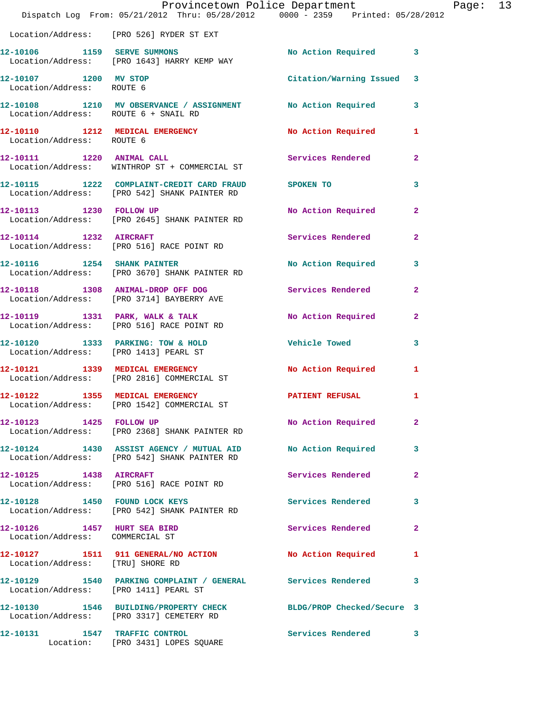|                                                                    | Dispatch Log From: 05/21/2012 Thru: 05/28/2012 0000 - 2359 Printed: 05/28/2012                               | Provincetown Police Department |              | Page: 13 |  |
|--------------------------------------------------------------------|--------------------------------------------------------------------------------------------------------------|--------------------------------|--------------|----------|--|
|                                                                    | Location/Address: [PRO 526] RYDER ST EXT                                                                     |                                |              |          |  |
|                                                                    | 12-10106 1159 SERVE SUMMONS<br>Location/Address: [PRO 1643] HARRY KEMP WAY                                   | No Action Required 3           |              |          |  |
| 12-10107 1200 MV STOP<br>Location/Address: ROUTE 6                 |                                                                                                              | Citation/Warning Issued 3      |              |          |  |
| Location/Address: ROUTE 6 + SNAIL RD                               | 12-10108 1210 MV OBSERVANCE / ASSIGNMENT No Action Required 3                                                |                                |              |          |  |
| Location/Address: ROUTE 6                                          | 12-10110 1212 MEDICAL EMERGENCY                                                                              | No Action Required 1           |              |          |  |
|                                                                    | 12-10111 1220 ANIMAL CALL<br>Location/Address: WINTHROP ST + COMMERCIAL ST                                   | Services Rendered              | $\mathbf{2}$ |          |  |
|                                                                    | 12-10115 1222 COMPLAINT-CREDIT CARD FRAUD SPOKEN TO<br>Location/Address: [PRO 542] SHANK PAINTER RD          |                                | 3            |          |  |
|                                                                    | 12-10113 1230 FOLLOW UP<br>Location/Address: [PRO 2645] SHANK PAINTER RD                                     | No Action Required             | $\mathbf{2}$ |          |  |
|                                                                    | 12-10114 1232 AIRCRAFT<br>Location/Address: [PRO 516] RACE POINT RD                                          | Services Rendered              | $\mathbf{2}$ |          |  |
|                                                                    | 12-10116 1254 SHANK PAINTER<br>Location/Address: [PRO 3670] SHANK PAINTER RD                                 | No Action Required 3           |              |          |  |
|                                                                    | 12-10118 1308 ANIMAL-DROP OFF DOG Services Rendered 2<br>Location/Address: [PRO 3714] BAYBERRY AVE           |                                |              |          |  |
|                                                                    | 12-10119 1331 PARK, WALK & TALK<br>Location/Address: [PRO 516] RACE POINT RD                                 | No Action Required             | $\mathbf{2}$ |          |  |
|                                                                    | 12-10120 1333 PARKING: TOW & HOLD Vehicle Towed<br>Location/Address: [PRO 1413] PEARL ST                     |                                | 3            |          |  |
|                                                                    | 12-10121 1339 MEDICAL EMERGENCY<br>Location/Address: [PRO 2816] COMMERCIAL ST                                | No Action Required             | $\mathbf{1}$ |          |  |
| 12-10122 1355 MEDICAL EMERGENCY                                    | Location/Address: [PRO 1542] COMMERCIAL ST                                                                   | PATIENT REFUSAL                | 1            |          |  |
| 12-10123 1425 FOLLOW UP                                            | Location/Address: [PRO 2368] SHANK PAINTER RD                                                                | No Action Required             | $\mathbf{2}$ |          |  |
|                                                                    | 12-10124 1430 ASSIST AGENCY / MUTUAL AID No Action Required<br>Location/Address: [PRO 542] SHANK PAINTER RD  |                                | $\mathbf{3}$ |          |  |
| 12-10125   1438   AIRCRAFT                                         | Location/Address: [PRO 516] RACE POINT RD                                                                    | Services Rendered              | $\mathbf{2}$ |          |  |
|                                                                    | 12-10128 1450 FOUND LOCK KEYS<br>Location/Address: [PRO 542] SHANK PAINTER RD                                | Services Rendered 3            |              |          |  |
| 12-10126   1457   HURT SEA BIRD<br>Location/Address: COMMERCIAL ST |                                                                                                              | Services Rendered              | $\mathbf{2}$ |          |  |
| Location/Address: [TRU] SHORE RD                                   | 12-10127 1511 911 GENERAL/NO ACTION No Action Required 1                                                     |                                |              |          |  |
| Location/Address: [PRO 1411] PEARL ST                              | 12-10129 1540 PARKING COMPLAINT / GENERAL Services Rendered                                                  |                                | 3            |          |  |
|                                                                    | 12-10130 1546 BUILDING/PROPERTY CHECK BLDG/PROP Checked/Secure 3<br>Location/Address: [PRO 3317] CEMETERY RD |                                |              |          |  |
|                                                                    | 12-10131 1547 TRAFFIC CONTROL<br>Location: [PRO 3431] LOPES SQUARE                                           | Services Rendered 3            |              |          |  |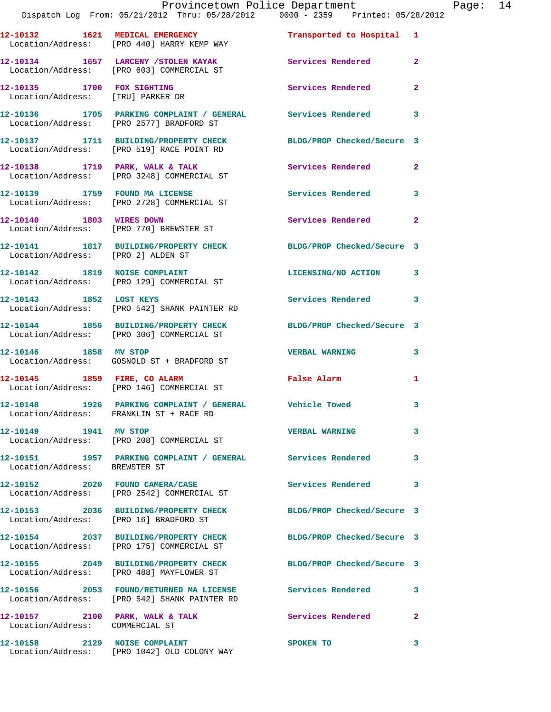|                                                                    | 12-10132 1621 MEDICAL EMERGENCY<br>Location/Address: [PRO 440] HARRY KEMP WAY                             | Transported to Hospital 1  |                |
|--------------------------------------------------------------------|-----------------------------------------------------------------------------------------------------------|----------------------------|----------------|
|                                                                    | 12-10134 1657 LARCENY / STOLEN KAYAK<br>Location/Address: [PRO 603] COMMERCIAL ST                         | <b>Services Rendered</b>   | $\overline{2}$ |
| 12-10135 1700 FOX SIGHTING<br>Location/Address: [TRU] PARKER DR    |                                                                                                           | Services Rendered          | $\mathbf{2}$   |
|                                                                    | 12-10136 1705 PARKING COMPLAINT / GENERAL Services Rendered 3<br>Location/Address: [PRO 2577] BRADFORD ST |                            |                |
|                                                                    | 12-10137 1711 BUILDING/PROPERTY CHECK<br>Location/Address: [PRO 519] RACE POINT RD                        | BLDG/PROP Checked/Secure 3 |                |
|                                                                    | 12-10138 1719 PARK, WALK & TALK<br>Location/Address: [PRO 3248] COMMERCIAL ST                             | Services Rendered 2        |                |
|                                                                    | 12-10139 1759 FOUND MA LICENSE<br>Location/Address: [PRO 2728] COMMERCIAL ST                              | <b>Services Rendered</b>   | 3              |
| 12-10140 1803 WIRES DOWN                                           | Location/Address: [PRO 770] BREWSTER ST                                                                   | Services Rendered 2        |                |
|                                                                    | 12-10141 1817 BUILDING/PROPERTY CHECK<br>Location/Address: [PRO 2] ALDEN ST                               | BLDG/PROP Checked/Secure 3 |                |
| 12-10142 1819 NOISE COMPLAINT                                      | Location/Address: [PRO 129] COMMERCIAL ST                                                                 | LICENSING/NO ACTION 3      |                |
| 12-10143 1852 LOST KEYS                                            | Location/Address: [PRO 542] SHANK PAINTER RD                                                              | Services Rendered          | 3              |
|                                                                    | 12-10144 1856 BUILDING/PROPERTY CHECK<br>Location/Address: [PRO 306] COMMERCIAL ST                        | BLDG/PROP Checked/Secure 3 |                |
| 12-10146 1858 MV STOP                                              | Location/Address: GOSNOLD ST + BRADFORD ST                                                                | <b>VERBAL WARNING</b>      | 3              |
| 12-10145 1859 FIRE, CO ALARM                                       | Location/Address: [PRO 146] COMMERCIAL ST                                                                 | False Alarm                | 1              |
|                                                                    | 12-10148 1926 PARKING COMPLAINT / GENERAL Vehicle Towed<br>Location/Address: FRANKLIN ST + RACE RD        |                            | 3              |
|                                                                    | Location/Address: [PRO 208] COMMERCIAL ST                                                                 | <b>VERBAL WARNING</b>      | 3              |
| Location/Address: BREWSTER ST                                      | 12-10151 1957 PARKING COMPLAINT / GENERAL Services Rendered 3                                             |                            |                |
|                                                                    | 12-10152 2020 FOUND CAMERA/CASE<br>Location/Address: [PRO 2542] COMMERCIAL ST                             | Services Rendered 3        |                |
|                                                                    | 12-10153 2036 BUILDING/PROPERTY CHECK<br>Location/Address: [PRO 16] BRADFORD ST                           | BLDG/PROP Checked/Secure 3 |                |
|                                                                    | 12-10154 2037 BUILDING/PROPERTY CHECK<br>Location/Address: [PRO 175] COMMERCIAL ST                        | BLDG/PROP Checked/Secure 3 |                |
|                                                                    | 12-10155 2049 BUILDING/PROPERTY CHECK<br>Location/Address: [PRO 488] MAYFLOWER ST                         | BLDG/PROP Checked/Secure 3 |                |
|                                                                    | 12-10156 2053 FOUND/RETURNED MA LICENSE Services Rendered<br>Location/Address: [PRO 542] SHANK PAINTER RD |                            | 3              |
| 12-10157 2100 PARK, WALK & TALK<br>Location/Address: COMMERCIAL ST |                                                                                                           | Services Rendered          | $\mathbf{2}$   |
|                                                                    | 12-10158 2129 NOISE COMPLAINT<br>Location/Address: [PRO 1042] OLD COLONY WAY                              | SPOKEN TO                  | 3              |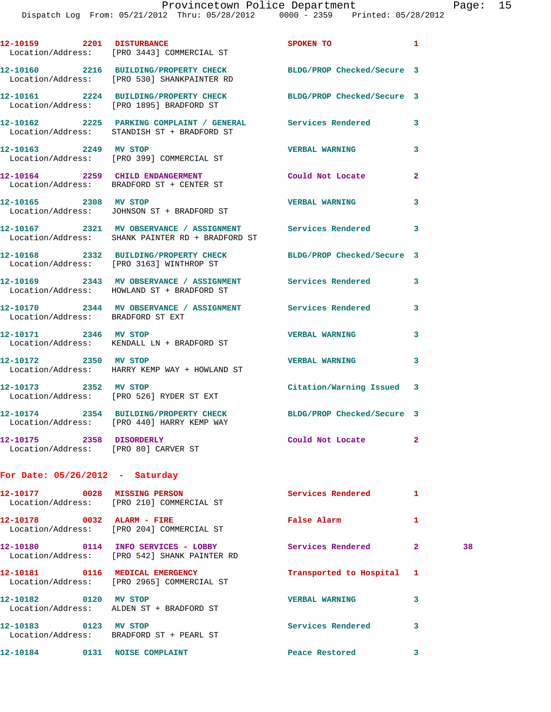|                                   | 12-10159 2201 DISTURBANCE<br>Location/Address: [PRO 3443] COMMERCIAL ST                                        | SPOKEN TO                       | 1            |    |
|-----------------------------------|----------------------------------------------------------------------------------------------------------------|---------------------------------|--------------|----|
|                                   | 12-10160 2216 BUILDING/PROPERTY CHECK<br>Location/Address: [PRO 530] SHANKPAINTER RD                           | BLDG/PROP Checked/Secure 3      |              |    |
|                                   | 12-10161 2224 BUILDING/PROPERTY CHECK<br>Location/Address: [PRO 1895] BRADFORD ST                              | BLDG/PROP Checked/Secure 3      |              |    |
|                                   | 12-10162 2225 PARKING COMPLAINT / GENERAL Services Rendered 3<br>Location/Address: STANDISH ST + BRADFORD ST   |                                 |              |    |
|                                   | 12-10163 2249 MV STOP<br>Location/Address: [PRO 399] COMMERCIAL ST                                             | <b>VERBAL WARNING</b>           | 3            |    |
|                                   | 12-10164 2259 CHILD ENDANGERMENT<br>Location/Address: BRADFORD ST + CENTER ST                                  | Could Not Locate                | $\mathbf{2}$ |    |
| 12-10165 2308 MV STOP             | Location/Address: JOHNSON ST + BRADFORD ST                                                                     | <b>VERBAL WARNING</b>           | 3            |    |
|                                   | 12-10167 2321 MV OBSERVANCE / ASSIGNMENT Services Rendered<br>Location/Address: SHANK PAINTER RD + BRADFORD ST |                                 | 3            |    |
|                                   | 12-10168 2332 BUILDING/PROPERTY CHECK BLDG/PROP Checked/Secure 3<br>Location/Address: [PRO 3163] WINTHROP ST   |                                 |              |    |
|                                   | 12-10169 2343 MV OBSERVANCE / ASSIGNMENT Services Rendered<br>Location/Address: HOWLAND ST + BRADFORD ST       |                                 | 3            |    |
|                                   | 12-10170 2344 MV OBSERVANCE / ASSIGNMENT Services Rendered<br>Location/Address: BRADFORD ST EXT                |                                 | 3            |    |
|                                   | 12-10171 2346 MV STOP<br>Location/Address: KENDALL LN + BRADFORD ST                                            | <b>VERBAL WARNING</b>           | 3            |    |
| 12-10172 2350 MV STOP             | Location/Address: HARRY KEMP WAY + HOWLAND ST                                                                  | <b>VERBAL WARNING</b>           | 3            |    |
|                                   | 12-10173 2352 MV STOP<br>Location/Address: [PRO 526] RYDER ST EXT                                              | Citation/Warning Issued 3       |              |    |
|                                   | 12-10174 2354 BUILDING/PROPERTY CHECK<br>Location/Address: [PRO 440] HARRY KEMP WAY                            | BLDG/PROP Checked/Secure 3      |              |    |
| 12-10175  2358 DISORDERLY         | Location/Address: [PRO 80] CARVER ST                                                                           | Could Not Locate                | $\mathbf{2}$ |    |
| For Date: $05/26/2012$ - Saturday |                                                                                                                |                                 |              |    |
|                                   | 12-10177 0028 MISSING PERSON<br>Location/Address: [PRO 210] COMMERCIAL ST                                      | <b>Services Rendered</b>        | $\mathbf{1}$ |    |
|                                   | 12-10178 0032 ALARM - FIRE<br>Location/Address: [PRO 204] COMMERCIAL ST                                        | False Alarm                     | 1            |    |
|                                   | 12-10180 0114 INFO SERVICES - LOBBY<br>Location/Address: [PRO 542] SHANK PAINTER RD                            | <b>Services Rendered</b>        | $\mathbf{2}$ | 38 |
|                                   | 12-10181 0116 MEDICAL EMERGENCY<br>Location/Address: [PRO 2965] COMMERCIAL ST                                  | Transported to Hospital 1       |              |    |
|                                   | 12-10182 0120 MV STOP<br>Location/Address: ALDEN ST + BRADFORD ST                                              | <b>VERBAL WARNING</b>           | 3            |    |
| 12-10183 0123 MV STOP             | Location/Address: BRADFORD ST + PEARL ST                                                                       | Services Rendered               | 3            |    |
|                                   | 12-10184 0131 NOISE COMPLAINT                                                                                  | Peace Restored and the Restored | 3            |    |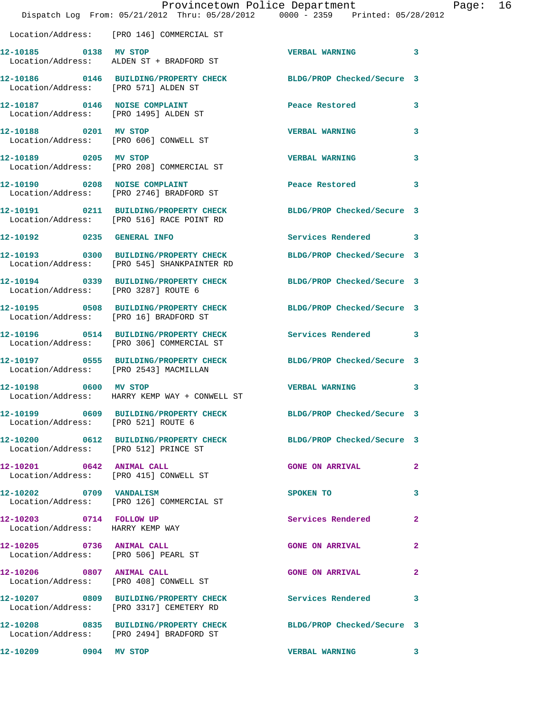|                                                                     | Dispatch Log From: 05/21/2012 Thru: 05/28/2012 0000 - 2359 Printed: 05/28/2012                                  | Provincetown Police Department |              | Page: 16 |  |
|---------------------------------------------------------------------|-----------------------------------------------------------------------------------------------------------------|--------------------------------|--------------|----------|--|
|                                                                     | Location/Address: [PRO 146] COMMERCIAL ST                                                                       |                                |              |          |  |
|                                                                     | 12-10185 0138 MV STOP<br>Location/Address: ALDEN ST + BRADFORD ST                                               | VERBAL WARNING 3               |              |          |  |
| Location/Address: [PRO 571] ALDEN ST                                | 12-10186 0146 BUILDING/PROPERTY CHECK BLDG/PROP Checked/Secure 3                                                |                                |              |          |  |
| 12-10187 0146 NOISE COMPLAINT                                       | Location/Address: [PRO 1495] ALDEN ST                                                                           | Peace Restored <b>Seaps</b>    | 3            |          |  |
| Location/Address: [PRO 606] CONWELL ST                              | 12-10188 0201 MV STOP                                                                                           | <b>VERBAL WARNING</b>          | 3            |          |  |
| 12-10189 0205 MV STOP                                               | Location/Address: [PRO 208] COMMERCIAL ST                                                                       | <b>VERBAL WARNING</b>          | 3            |          |  |
|                                                                     | 12-10190 0208 NOISE COMPLAINT<br>Location/Address: [PRO 2746] BRADFORD ST                                       | Peace Restored                 | 3            |          |  |
|                                                                     | 12-10191 0211 BUILDING/PROPERTY CHECK BLDG/PROP Checked/Secure 3<br>Location/Address: [PRO 516] RACE POINT RD   |                                |              |          |  |
|                                                                     | 12-10192 0235 GENERAL INFO                                                                                      | Services Rendered 3            |              |          |  |
|                                                                     | 12-10193 0300 BUILDING/PROPERTY CHECK BLDG/PROP Checked/Secure 3<br>Location/Address: [PRO 545] SHANKPAINTER RD |                                |              |          |  |
| Location/Address: [PRO 3287] ROUTE 6                                | 12-10194 0339 BUILDING/PROPERTY CHECK BLDG/PROP Checked/Secure 3                                                |                                |              |          |  |
|                                                                     | 12-10195 0508 BUILDING/PROPERTY CHECK BLDG/PROP Checked/Secure 3<br>Location/Address: [PRO 16] BRADFORD ST      |                                |              |          |  |
|                                                                     | 12-10196 0514 BUILDING/PROPERTY CHECK Services Rendered 3<br>Location/Address: [PRO 306] COMMERCIAL ST          |                                |              |          |  |
|                                                                     | 12-10197 0555 BUILDING/PROPERTY CHECK BLDG/PROP Checked/Secure 3<br>Location/Address: [PRO 2543] MACMILLAN      |                                |              |          |  |
|                                                                     | 12-10198 0600 MV STOP<br>Location/Address: HARRY KEMP WAY + CONWELL ST                                          | <b>VERBAL WARNING</b>          | 3            |          |  |
| Location/Address: [PRO 521] ROUTE 6                                 | 12-10199 0609 BUILDING/PROPERTY CHECK BLDG/PROP Checked/Secure 3                                                |                                |              |          |  |
| Location/Address: [PRO 512] PRINCE ST                               | 12-10200 0612 BUILDING/PROPERTY CHECK BLDG/PROP Checked/Secure 3                                                |                                |              |          |  |
| 12-10201 0642 ANIMAL CALL<br>Location/Address: [PRO 415] CONWELL ST |                                                                                                                 | <b>GONE ON ARRIVAL</b>         | $\mathbf{2}$ |          |  |
|                                                                     | 12-10202 0709 VANDALISM<br>Location/Address: [PRO 126] COMMERCIAL ST                                            | SPOKEN TO                      | 3            |          |  |
| 12-10203 0714 FOLLOW UP<br>Location/Address: HARRY KEMP WAY         |                                                                                                                 | Services Rendered 2            |              |          |  |
| 12-10205 0736 ANIMAL CALL<br>Location/Address: [PRO 506] PEARL ST   |                                                                                                                 | <b>GONE ON ARRIVAL</b>         | $\mathbf{2}$ |          |  |
|                                                                     | 12-10206 0807 ANIMAL CALL<br>Location/Address: [PRO 408] CONWELL ST                                             | GONE ON ARRIVAL 2              |              |          |  |
|                                                                     | 12-10207 0809 BUILDING/PROPERTY CHECK Services Rendered 3<br>Location/Address: [PRO 3317] CEMETERY RD           |                                |              |          |  |
|                                                                     | 12-10208 0835 BUILDING/PROPERTY CHECK BLDG/PROP Checked/Secure 3<br>Location/Address: [PRO 2494] BRADFORD ST    |                                |              |          |  |
| 12-10209 0904 MV STOP                                               |                                                                                                                 | VERBAL WARNING 3               |              |          |  |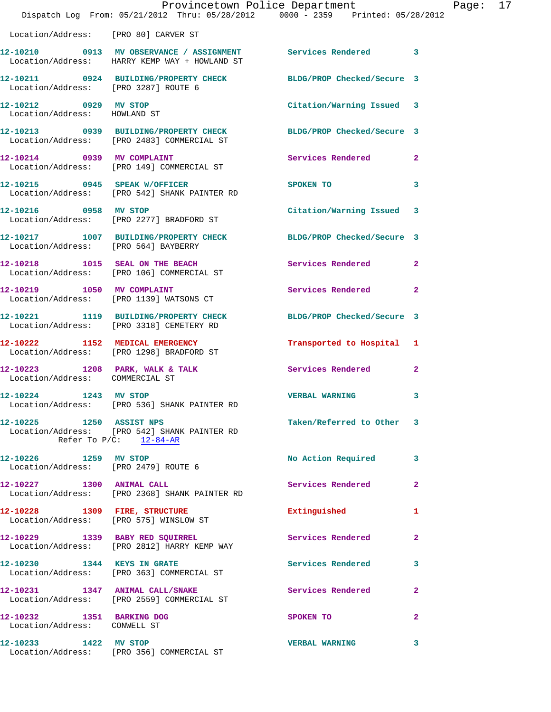|                                                           | Dispatch Log From: 05/21/2012 Thru: 05/28/2012 0000 - 2359 Printed: 05/28/2012                                 | Provincetown Police Department |              | Page: 17 |  |
|-----------------------------------------------------------|----------------------------------------------------------------------------------------------------------------|--------------------------------|--------------|----------|--|
| Location/Address: [PRO 80] CARVER ST                      |                                                                                                                |                                |              |          |  |
|                                                           | 12-10210 0913 MV OBSERVANCE / ASSIGNMENT Services Rendered 3<br>Location/Address: HARRY KEMP WAY + HOWLAND ST  |                                |              |          |  |
| Location/Address: [PRO 3287] ROUTE 6                      | 12-10211 0924 BUILDING/PROPERTY CHECK BLDG/PROP Checked/Secure 3                                               |                                |              |          |  |
| 12-10212 0929 MV STOP<br>Location/Address: HOWLAND ST     |                                                                                                                | Citation/Warning Issued 3      |              |          |  |
|                                                           | 12-10213 0939 BUILDING/PROPERTY CHECK BLDG/PROP Checked/Secure 3<br>Location/Address: [PRO 2483] COMMERCIAL ST |                                |              |          |  |
| 12-10214 0939 MV COMPLAINT                                | Location/Address: [PRO 149] COMMERCIAL ST                                                                      | Services Rendered 2            |              |          |  |
|                                                           | 12-10215 0945 SPEAK W/OFFICER<br>Location/Address: [PRO 542] SHANK PAINTER RD                                  | SPOKEN TO                      | 3            |          |  |
| 12-10216 0958 MV STOP                                     | Location/Address: [PRO 2277] BRADFORD ST                                                                       | Citation/Warning Issued 3      |              |          |  |
| Location/Address: [PRO 564] BAYBERRY                      | 12-10217 1007 BUILDING/PROPERTY CHECK BLDG/PROP Checked/Secure 3                                               |                                |              |          |  |
|                                                           | 12-10218 1015 SEAL ON THE BEACH<br>Location/Address: [PRO 106] COMMERCIAL ST                                   | Services Rendered              | $\mathbf{2}$ |          |  |
|                                                           | 12-10219 1050 MV COMPLAINT<br>Location/Address: [PRO 1139] WATSONS CT                                          | Services Rendered 2            |              |          |  |
|                                                           | 12-10221 1119 BUILDING/PROPERTY CHECK<br>Location/Address: [PRO 3318] CEMETERY RD                              | BLDG/PROP Checked/Secure 3     |              |          |  |
|                                                           | 12-10222 1152 MEDICAL EMERGENCY<br>Location/Address: [PRO 1298] BRADFORD ST                                    | Transported to Hospital 1      |              |          |  |
| Location/Address: COMMERCIAL ST                           | 12-10223 1208 PARK, WALK & TALK 1988 Services Rendered                                                         |                                | $\mathbf{2}$ |          |  |
| 12-10224 1243 MV STOP                                     | Location/Address: [PRO 536] SHANK PAINTER RD                                                                   | VERBAL WARNING 3               |              |          |  |
| 12-10225 1250 ASSIST NPS<br>Refer To $P/C$ : 12-84-AR     | Location/Address: [PRO 542] SHANK PAINTER RD                                                                   | Taken/Referred to Other 3      |              |          |  |
| 12-10226 1259 MV STOP                                     | Location/Address: [PRO 2479] ROUTE 6                                                                           | No Action Required 3           |              |          |  |
|                                                           | 12-10227 1300 ANIMAL CALL<br>Location/Address: [PRO 2368] SHANK PAINTER RD                                     | Services Rendered              | $\mathbf{2}$ |          |  |
|                                                           | 12-10228 1309 FIRE, STRUCTURE<br>Location/Address: [PRO 575] WINSLOW ST                                        | Extinguished 1                 |              |          |  |
|                                                           | 12-10229 1339 BABY RED SQUIRREL<br>Location/Address: [PRO 2812] HARRY KEMP WAY                                 | Services Rendered              | $\mathbf{2}$ |          |  |
| 12-10230 1344 KEYS IN GRATE                               | Location/Address: [PRO 363] COMMERCIAL ST                                                                      | Services Rendered 3            |              |          |  |
|                                                           | 12-10231 1347 ANIMAL CALL/SNAKE<br>Location/Address: [PRO 2559] COMMERCIAL ST                                  | Services Rendered              | $\mathbf{2}$ |          |  |
| 12-10232 1351 BARKING DOG<br>Location/Address: CONWELL ST |                                                                                                                | SPOKEN TO                      | $\mathbf{2}$ |          |  |
|                                                           | 12-10233 1422 MV STOP<br>Location/Address: [PRO 356] COMMERCIAL ST                                             | <b>VERBAL WARNING</b>          | 3            |          |  |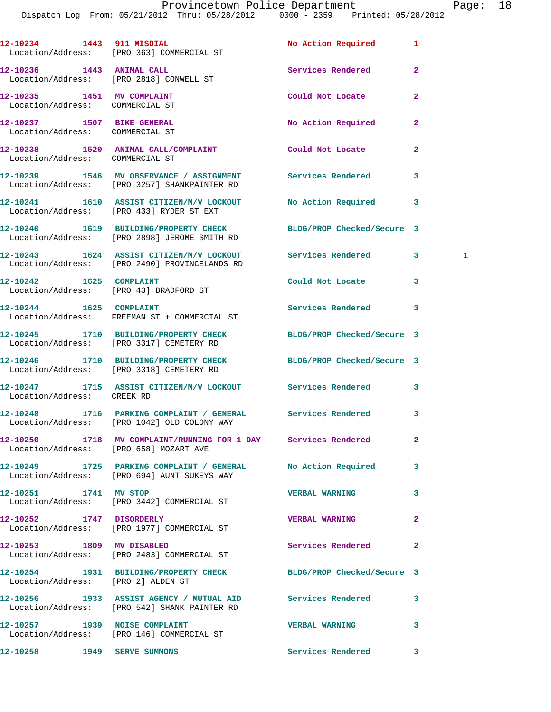|                                                               | 12-10234 1443 911 MISDIAL<br>Location/Address: [PRO 363] COMMERCIAL ST                                           | No Action Required         | 1                       |  |
|---------------------------------------------------------------|------------------------------------------------------------------------------------------------------------------|----------------------------|-------------------------|--|
|                                                               | 12-10236 1443 ANIMAL CALL<br>Location/Address: [PRO 2818] CONWELL ST                                             | Services Rendered          | $\mathbf{2}$            |  |
| 12-10235 1451 MV COMPLAINT<br>Location/Address: COMMERCIAL ST |                                                                                                                  | Could Not Locate           | $\overline{a}$          |  |
| 12-10237 1507 BIKE GENERAL<br>Location/Address: COMMERCIAL ST |                                                                                                                  | No Action Required         | $\mathbf{2}$            |  |
| Location/Address: COMMERCIAL ST                               | 12-10238 1520 ANIMAL CALL/COMPLAINT                                                                              | <b>Could Not Locate</b>    | $\mathbf{2}$            |  |
|                                                               | 12-10239 1546 MV OBSERVANCE / ASSIGNMENT Services Rendered<br>Location/Address: [PRO 3257] SHANKPAINTER RD       |                            | 3                       |  |
|                                                               | 12-10241 1610 ASSIST CITIZEN/M/V LOCKOUT No Action Required<br>Location/Address: [PRO 433] RYDER ST EXT          |                            | 3                       |  |
|                                                               | 12-10240 1619 BUILDING/PROPERTY CHECK BLDG/PROP Checked/Secure 3<br>Location/Address: [PRO 2898] JEROME SMITH RD |                            |                         |  |
|                                                               | 12-10243 1624 ASSIST CITIZEN/M/V LOCKOUT Services Rendered<br>Location/Address: [PRO 2490] PROVINCELANDS RD      |                            | $\mathbf{3}$<br>1       |  |
| 12-10242 1625 COMPLAINT                                       | Location/Address: [PRO 43] BRADFORD ST                                                                           | Could Not Locate           | 3                       |  |
| 12-10244 1625 COMPLAINT                                       | Location/Address: FREEMAN ST + COMMERCIAL ST                                                                     | Services Rendered          | 3                       |  |
|                                                               | 12-10245 1710 BUILDING/PROPERTY CHECK BLDG/PROP Checked/Secure 3<br>Location/Address: [PRO 3317] CEMETERY RD     |                            |                         |  |
|                                                               | 12-10246 1710 BUILDING/PROPERTY CHECK<br>Location/Address: [PRO 3318] CEMETERY RD                                | BLDG/PROP Checked/Secure 3 |                         |  |
| Location/Address: CREEK RD                                    | 12-10247 1715 ASSIST CITIZEN/M/V LOCKOUT Services Rendered                                                       |                            | $\overline{\mathbf{3}}$ |  |
|                                                               | 12-10248 1716 PARKING COMPLAINT / GENERAL Services Rendered<br>Location/Address: [PRO 1042] OLD COLONY WAY       |                            | 3                       |  |
| Location/Address: [PRO 658] MOZART AVE                        | 12-10250 1718 MV COMPLAINT/RUNNING FOR 1 DAY Services Rendered                                                   |                            | 2                       |  |
|                                                               | 12-10249 1725 PARKING COMPLAINT / GENERAL No Action Required<br>Location/Address: [PRO 694] AUNT SUKEYS WAY      |                            | 3                       |  |
| 12-10251 1741 MV STOP                                         | Location/Address: [PRO 3442] COMMERCIAL ST                                                                       | <b>VERBAL WARNING</b>      | 3                       |  |
| 12-10252 1747 DISORDERLY                                      | Location/Address: [PRO 1977] COMMERCIAL ST                                                                       | <b>VERBAL WARNING</b>      | $\overline{a}$          |  |
| 12-10253 1809 MV DISABLED                                     | Location/Address: [PRO 2483] COMMERCIAL ST                                                                       | Services Rendered          | 2                       |  |
| Location/Address: [PRO 2] ALDEN ST                            | 12-10254 1931 BUILDING/PROPERTY CHECK BLDG/PROP Checked/Secure 3                                                 |                            |                         |  |
|                                                               | 12-10256 1933 ASSIST AGENCY / MUTUAL AID Services Rendered<br>Location/Address: [PRO 542] SHANK PAINTER RD       |                            | 3                       |  |
|                                                               | 12-10257 1939 NOISE COMPLAINT<br>Location/Address: [PRO 146] COMMERCIAL ST                                       | <b>VERBAL WARNING</b>      | 3                       |  |
| 12-10258 1949 SERVE SUMMONS                                   |                                                                                                                  | Services Rendered          | $\mathbf{3}$            |  |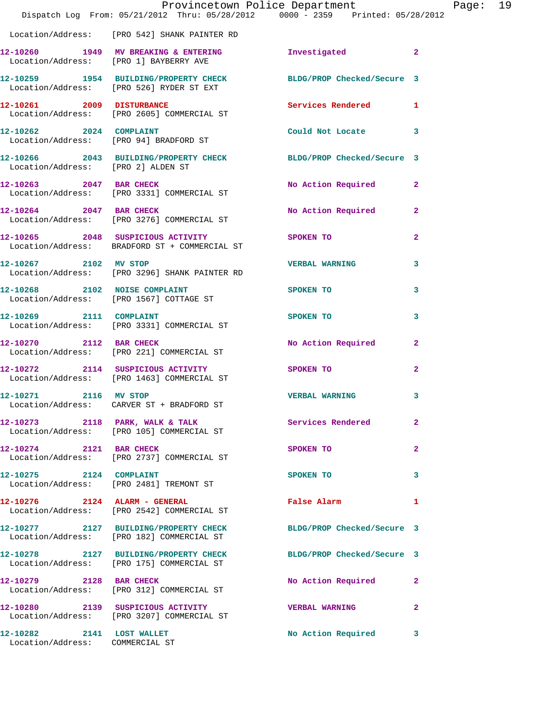|                                                              | Provincetown Police Department<br>Dispatch Log From: 05/21/2012 Thru: 05/28/2012 0000 - 2359 Printed: 05/28/2012 |                            |                |
|--------------------------------------------------------------|------------------------------------------------------------------------------------------------------------------|----------------------------|----------------|
|                                                              | Location/Address: [PRO 542] SHANK PAINTER RD                                                                     |                            |                |
|                                                              | 12-10260 1949 MV BREAKING & ENTERING<br>Location/Address: [PRO 1] BAYBERRY AVE                                   | Investigated               | $\overline{a}$ |
|                                                              | 12-10259 1954 BUILDING/PROPERTY CHECK<br>Location/Address: [PRO 526] RYDER ST EXT                                | BLDG/PROP Checked/Secure 3 |                |
|                                                              | 12-10261 2009 DISTURBANCE<br>Location/Address: [PRO 2605] COMMERCIAL ST                                          | Services Rendered          | 1              |
| 12-10262 2024 COMPLAINT                                      | Location/Address: [PRO 94] BRADFORD ST                                                                           | Could Not Locate           | 3              |
| Location/Address: [PRO 2] ALDEN ST                           | 12-10266 2043 BUILDING/PROPERTY CHECK BLDG/PROP Checked/Secure 3                                                 |                            |                |
| 12-10263 2047 BAR CHECK                                      | Location/Address: [PRO 3331] COMMERCIAL ST                                                                       | No Action Required         | $\mathbf{2}$   |
|                                                              | 12-10264 2047 BAR CHECK<br>Location/Address: [PRO 3276] COMMERCIAL ST                                            | No Action Required         | $\mathbf{2}$   |
|                                                              | 12-10265 2048 SUSPICIOUS ACTIVITY<br>Location/Address: BRADFORD ST + COMMERCIAL ST                               | SPOKEN TO                  | $\mathbf{2}$   |
| 12-10267 2102 MV STOP                                        | Location/Address: [PRO 3296] SHANK PAINTER RD                                                                    | <b>VERBAL WARNING</b>      | 3              |
| 12-10268 2102 NOISE COMPLAINT                                | Location/Address: [PRO 1567] COTTAGE ST                                                                          | SPOKEN TO                  | 3              |
|                                                              | 12-10269 2111 COMPLAINT<br>Location/Address: [PRO 3331] COMMERCIAL ST                                            | SPOKEN TO                  | 3              |
| 12-10270 2112 BAR CHECK                                      | Location/Address: [PRO 221] COMMERCIAL ST                                                                        | No Action Required         | $\mathbf{2}$   |
|                                                              | 12-10272 2114 SUSPICIOUS ACTIVITY<br>Location/Address: [PRO 1463] COMMERCIAL ST                                  | SPOKEN TO                  | $\overline{a}$ |
| 12-10271 2116 MV STOP                                        | Location/Address: CARVER ST + BRADFORD ST                                                                        | <b>VERBAL WARNING</b>      |                |
|                                                              | 12-10273 2118 PARK, WALK & TALK<br>Location/Address: [PRO 105] COMMERCIAL ST                                     | Services Rendered          | $\overline{a}$ |
| 12-10274 2121 BAR CHECK                                      | Location/Address: [PRO 2737] COMMERCIAL ST                                                                       | SPOKEN TO                  | $\mathbf{2}$   |
| 12-10275 2124 COMPLAINT                                      | Location/Address: [PRO 2481] TREMONT ST                                                                          | SPOKEN TO                  | 3              |
| $12-10276$ 2124 ALARM - GENERAL                              | Location/Address: [PRO 2542] COMMERCIAL ST                                                                       | False Alarm                | 1              |
|                                                              | 12-10277 2127 BUILDING/PROPERTY CHECK<br>Location/Address: [PRO 182] COMMERCIAL ST                               | BLDG/PROP Checked/Secure 3 |                |
|                                                              | 12-10278 2127 BUILDING/PROPERTY CHECK<br>Location/Address: [PRO 175] COMMERCIAL ST                               | BLDG/PROP Checked/Secure 3 |                |
| 12-10279 2128 BAR CHECK                                      | Location/Address: [PRO 312] COMMERCIAL ST                                                                        | No Action Required         | $\mathbf{2}$   |
|                                                              | 12-10280 2139 SUSPICIOUS ACTIVITY<br>Location/Address: [PRO 3207] COMMERCIAL ST                                  | <b>VERBAL WARNING</b>      | 2              |
| 12-10282 2141 LOST WALLET<br>Location/Address: COMMERCIAL ST |                                                                                                                  | No Action Required         | 3              |

Page:  $19$ <br> $12$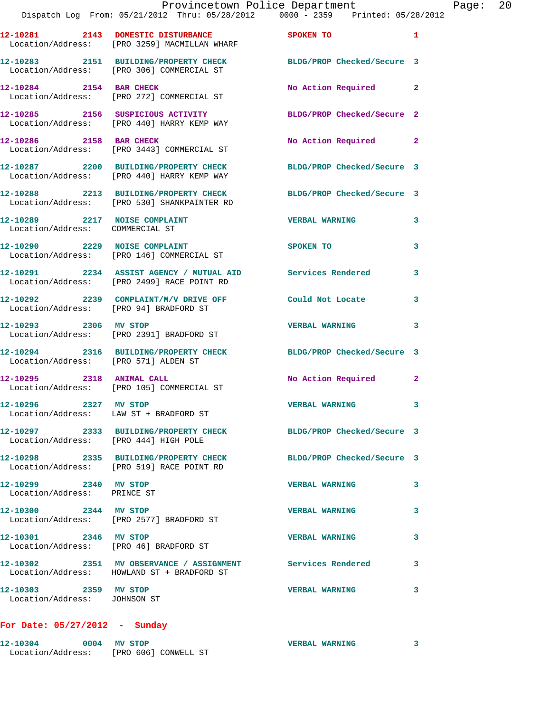|                                                                  | Provincetown Police Department<br>Dispatch Log From: 05/21/2012 Thru: 05/28/2012 0000 - 2359 Printed: 05/28/2012 |                            |                |
|------------------------------------------------------------------|------------------------------------------------------------------------------------------------------------------|----------------------------|----------------|
|                                                                  | 12-10281 2143 DOMESTIC DISTURBANCE SPOKEN TO<br>Location/Address: [PRO 3259] MACMILLAN WHARF                     |                            | 1              |
|                                                                  | 12-10283 2151 BUILDING/PROPERTY CHECK<br>Location/Address: [PRO 306] COMMERCIAL ST                               | BLDG/PROP Checked/Secure 3 |                |
| 12-10284 2154 BAR CHECK                                          | Location/Address: [PRO 272] COMMERCIAL ST                                                                        | No Action Required         | $\overline{2}$ |
|                                                                  | 12-10285 2156 SUSPICIOUS ACTIVITY<br>Location/Address: [PRO 440] HARRY KEMP WAY                                  | BLDG/PROP Checked/Secure 2 |                |
|                                                                  | 12-10286 2158 BAR CHECK<br>Location/Address: [PRO 3443] COMMERCIAL ST                                            | No Action Required         | $\overline{2}$ |
|                                                                  | 12-10287 2200 BUILDING/PROPERTY CHECK BLDG/PROP Checked/Secure 3<br>Location/Address: [PRO 440] HARRY KEMP WAY   |                            |                |
|                                                                  | 12-10288 2213 BUILDING/PROPERTY CHECK BLDG/PROP Checked/Secure 3<br>Location/Address: [PRO 530] SHANKPAINTER RD  |                            |                |
| 12-10289 2217 NOISE COMPLAINT<br>Location/Address: COMMERCIAL ST |                                                                                                                  | <b>VERBAL WARNING</b>      | 3              |
|                                                                  | 12-10290 2229 NOISE COMPLAINT<br>Location/Address: [PRO 146] COMMERCIAL ST                                       | SPOKEN TO                  | 3              |
|                                                                  | 12-10291 2234 ASSIST AGENCY / MUTUAL AID Services Rendered<br>Location/Address: [PRO 2499] RACE POINT RD         |                            | 3              |
|                                                                  | 12-10292 2239 COMPLAINT/M/V DRIVE OFF<br>Location/Address: [PRO 94] BRADFORD ST                                  | Could Not Locate           | 3              |
| 12-10293 2306 MV STOP                                            | Location/Address: [PRO 2391] BRADFORD ST                                                                         | <b>VERBAL WARNING</b>      | 3              |
| Location/Address: [PRO 571] ALDEN ST                             | 12-10294 2316 BUILDING/PROPERTY CHECK BLDG/PROP Checked/Secure 3                                                 |                            |                |
| 12-10295 2318 ANIMAL CALL                                        | Location/Address: [PRO 105] COMMERCIAL ST                                                                        | No Action Required         | $\overline{2}$ |
| 12-10296 2327 MV STOP<br>Location/Address: LAW ST + BRADFORD ST  |                                                                                                                  | <b>VERBAL WARNING</b>      | 3              |
| Location/Address: [PRO 444] HIGH POLE                            | 12-10297 2333 BUILDING/PROPERTY CHECK BLDG/PROP Checked/Secure 3                                                 |                            |                |
|                                                                  | 12-10298 2335 BUILDING/PROPERTY CHECK BLDG/PROP Checked/Secure 3<br>Location/Address: [PRO 519] RACE POINT RD    |                            |                |
| 12-10299 2340 MV STOP<br>Location/Address: PRINCE ST             |                                                                                                                  | <b>VERBAL WARNING</b>      | 3              |
| 12-10300 2344 MV STOP                                            | Location/Address: [PRO 2577] BRADFORD ST                                                                         | <b>VERBAL WARNING</b>      | 3              |
| 12-10301 2346 MV STOP                                            | Location/Address: [PRO 46] BRADFORD ST                                                                           | <b>VERBAL WARNING</b>      | 3              |
|                                                                  | 12-10302 2351 MV OBSERVANCE / ASSIGNMENT Services Rendered<br>Location/Address: HOWLAND ST + BRADFORD ST         |                            | 3              |
| 12-10303 2359 MV STOP<br>Location/Address: JOHNSON ST            |                                                                                                                  | <b>VERBAL WARNING</b>      | 3              |

## **For Date: 05/27/2012 - Sunday**

| 12-10304          | 0004 | MV STOP | <b>VERBAL WARNING</b> |  |
|-------------------|------|---------|-----------------------|--|
| Location/Address: |      |         | [PRO 606] CONWELL ST  |  |

Page:  $20$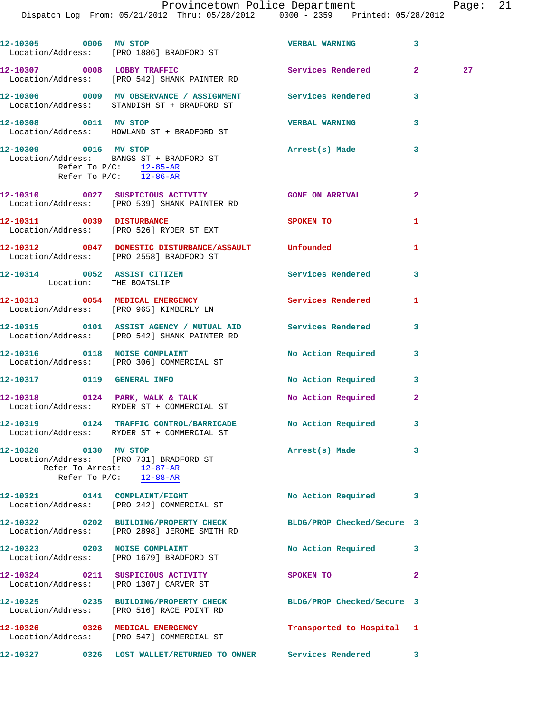Dispatch Log From: 05/21/2012 Thru: 05/28/2012 0000 - 2359 Printed: 05/28/2012

|                       | 12-10305 0006 MV STOP<br>Location/Address: [PRO 1886] BRADFORD ST                                                | <b>VERBAL WARNING</b>     | 3            |    |
|-----------------------|------------------------------------------------------------------------------------------------------------------|---------------------------|--------------|----|
|                       | 12-10307 0008 LOBBY TRAFFIC<br>Location/Address: [PRO 542] SHANK PAINTER RD                                      | Services Rendered 2       |              | 27 |
|                       | 12-10306 60009 MV OBSERVANCE / ASSIGNMENT Services Rendered<br>Location/Address: STANDISH ST + BRADFORD ST       |                           | 3            |    |
| 12-10308 0011 MV STOP | Location/Address: HOWLAND ST + BRADFORD ST                                                                       | <b>VERBAL WARNING</b>     | 3            |    |
| 12-10309 0016 MV STOP | Location/Address: BANGS ST + BRADFORD ST<br>Refer To $P/C$ : 12-85-AR<br>Refer To $P/C$ : $\overline{12-86-AR}$  | Arrest(s) Made            | 3            |    |
|                       | 12-10310 0027 SUSPICIOUS ACTIVITY<br>Location/Address: [PRO 539] SHANK PAINTER RD                                | <b>GONE ON ARRIVAL</b>    | $\mathbf{2}$ |    |
|                       | 12-10311 0039 DISTURBANCE<br>Location/Address: [PRO 526] RYDER ST EXT                                            | SPOKEN TO                 | 1            |    |
|                       | 12-10312 0047 DOMESTIC DISTURBANCE/ASSAULT Unfounded<br>Location/Address: [PRO 2558] BRADFORD ST                 |                           | 1            |    |
|                       | 12-10314 0052 ASSIST CITIZEN<br>Location: THE BOATSLIP                                                           | Services Rendered 3       |              |    |
|                       | 12-10313 0054 MEDICAL EMERGENCY<br>Location/Address: [PRO 965] KIMBERLY LN                                       | Services Rendered         | 1            |    |
|                       | 12-10315 0101 ASSIST AGENCY / MUTUAL AID Services Rendered 3<br>Location/Address: [PRO 542] SHANK PAINTER RD     |                           |              |    |
|                       | 12-10316 0118 NOISE COMPLAINT<br>Location/Address: [PRO 306] COMMERCIAL ST                                       | No Action Required        | 3            |    |
|                       | 12-10317 0119 GENERAL INFO                                                                                       | No Action Required 3      |              |    |
|                       | 12-10318 0124 PARK, WALK & TALK<br>Location/Address: RYDER ST + COMMERCIAL ST                                    | No Action Required        | $\mathbf{2}$ |    |
|                       | 12-10319 0124 TRAFFIC CONTROL/BARRICADE No Action Required 3<br>Location/Address: RYDER ST + COMMERCIAL ST       |                           |              |    |
| 12-10320 0130 MV STOP | Location/Address: [PRO 731] BRADFORD ST<br>Refer To Arrest: 12-87-AR<br>Refer To $P/C$ : 12-88-AR                | Arrest(s) Made 3          |              |    |
|                       | 12-10321 0141 COMPLAINT/FIGHT<br>Location/Address: [PRO 242] COMMERCIAL ST                                       | No Action Required 3      |              |    |
|                       | 12-10322 0202 BUILDING/PROPERTY CHECK BLDG/PROP Checked/Secure 3<br>Location/Address: [PRO 2898] JEROME SMITH RD |                           |              |    |
|                       | 12-10323 0203 NOISE COMPLAINT<br>Location/Address: [PRO 1679] BRADFORD ST                                        | No Action Required 3      |              |    |
|                       | 12-10324 0211 SUSPICIOUS ACTIVITY<br>Location/Address: [PRO 1307] CARVER ST                                      | SPOKEN TO                 | 2            |    |
|                       | 12-10325 0235 BUILDING/PROPERTY CHECK BLDG/PROP Checked/Secure 3<br>Location/Address: [PRO 516] RACE POINT RD    |                           |              |    |
|                       | 12-10326 0326 MEDICAL EMERGENCY<br>Location/Address: [PRO 547] COMMERCIAL ST                                     | Transported to Hospital 1 |              |    |
|                       | 12-10327 0326 LOST WALLET/RETURNED TO OWNER Services Rendered 3                                                  |                           |              |    |
|                       |                                                                                                                  |                           |              |    |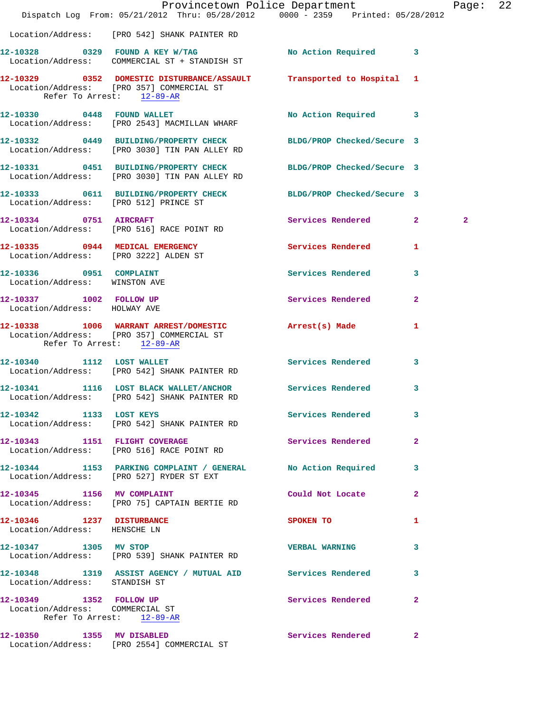|                                                            | Dispatch Log From: 05/21/2012 Thru: 05/28/2012 0000 - 2359 Printed: 05/28/2012                                    | Provincetown Police Department          |              | Page:          | 22 |
|------------------------------------------------------------|-------------------------------------------------------------------------------------------------------------------|-----------------------------------------|--------------|----------------|----|
|                                                            | Location/Address: [PRO 542] SHANK PAINTER RD                                                                      |                                         |              |                |    |
|                                                            | 12-10328 0329 FOUND A KEY W/TAG No Action Required 3<br>Location/Address: COMMERCIAL ST + STANDISH ST             |                                         |              |                |    |
| Refer To Arrest: 12-89-AR                                  | 12-10329 0352 DOMESTIC DISTURBANCE/ASSAULT Transported to Hospital 1<br>Location/Address: [PRO 357] COMMERCIAL ST |                                         |              |                |    |
|                                                            | 12-10330 0448 FOUND WALLET<br>Location/Address: [PRO 2543] MACMILLAN WHARF                                        | No Action Required 3                    |              |                |    |
|                                                            | 12-10332 0449 BUILDING/PROPERTY CHECK BLDG/PROP Checked/Secure 3<br>Location/Address: [PRO 3030] TIN PAN ALLEY RD |                                         |              |                |    |
|                                                            | 12-10331 0451 BUILDING/PROPERTY CHECK BLDG/PROP Checked/Secure 3<br>Location/Address: [PRO 3030] TIN PAN ALLEY RD |                                         |              |                |    |
|                                                            | 12-10333 0611 BUILDING/PROPERTY CHECK BLDG/PROP Checked/Secure 3<br>Location/Address: [PRO 512] PRINCE ST         |                                         |              |                |    |
|                                                            | 12-10334 0751 AIRCRAFT<br>Location/Address: [PRO 516] RACE POINT RD                                               | Services Rendered 2                     |              | $\overline{2}$ |    |
|                                                            | 12-10335 0944 MEDICAL EMERGENCY Services Rendered 1<br>Location/Address: [PRO 3222] ALDEN ST                      |                                         |              |                |    |
| 12-10336 0951 COMPLAINT<br>Location/Address: WINSTON AVE   |                                                                                                                   | Services Rendered                       | 3            |                |    |
| 12-10337 1002 FOLLOW UP<br>Location/Address: HOLWAY AVE    |                                                                                                                   | Services Rendered                       | $\mathbf{2}$ |                |    |
| Refer To Arrest: 12-89-AR                                  | 12-10338 1006 WARRANT ARREST/DOMESTIC Arrest(s) Made<br>Location/Address: [PRO 357] COMMERCIAL ST                 |                                         | 1            |                |    |
| 12-10340 1112 LOST WALLET                                  | Location/Address: [PRO 542] SHANK PAINTER RD                                                                      | <b>Services Rendered</b>                | 3            |                |    |
|                                                            | 12-10341 1116 LOST BLACK WALLET/ANCHOR Services Rendered 3<br>Location/Address: [PRO 542] SHANK PAINTER RD        |                                         |              |                |    |
| 12-10342 1133 LOST KEYS                                    | Location/Address: [PRO 542] SHANK PAINTER RD                                                                      | <b>Services Rendered</b>                | 3            |                |    |
|                                                            | 12-10343 1151 FLIGHT COVERAGE<br>Location/Address: [PRO 516] RACE POINT RD                                        | <b>Services Rendered</b>                | $\mathbf{2}$ |                |    |
|                                                            | 12-10344 1153 PARKING COMPLAINT / GENERAL No Action Required 3<br>Location/Address: [PRO 527] RYDER ST EXT        |                                         |              |                |    |
| 12-10345 1156 MV COMPLAINT                                 | Location/Address: [PRO 75] CAPTAIN BERTIE RD                                                                      | Could Not Locate                        | 2            |                |    |
| 12-10346 1237 DISTURBANCE<br>Location/Address: HENSCHE LN  |                                                                                                                   | SPOKEN TO DESCRIPTION OF REAL PROPERTY. | 1            |                |    |
|                                                            | 12-10347 1305 MV STOP<br>Location/Address: [PRO 539] SHANK PAINTER RD                                             | <b>VERBAL WARNING</b>                   | 3            |                |    |
| Location/Address: STANDISH ST                              | 12-10348 1319 ASSIST AGENCY / MUTUAL AID Services Rendered                                                        |                                         | 3            |                |    |
| 12-10349 1352 FOLLOW UP<br>Location/Address: COMMERCIAL ST | Refer To Arrest: 12-89-AR                                                                                         | <b>Services Rendered</b>                | $\mathbf{2}$ |                |    |
|                                                            | 12-10350 1355 MV DISABLED<br>Location/Address: [PRO 2554] COMMERCIAL ST                                           | Services Rendered                       | $\mathbf{2}$ |                |    |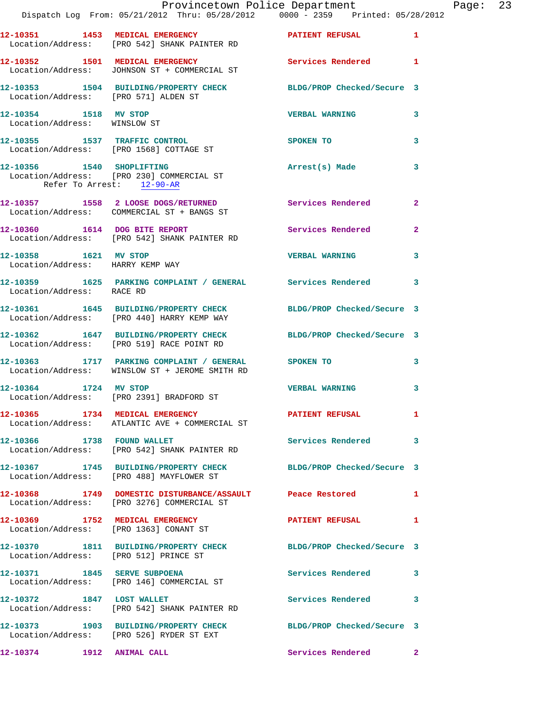|                                                           | Provincetown Police Department<br>Dispatch Log From: 05/21/2012 Thru: 05/28/2012   0000 - 2359   Printed: 05/28/2012 |                          | Page: 23     |
|-----------------------------------------------------------|----------------------------------------------------------------------------------------------------------------------|--------------------------|--------------|
|                                                           | 12-10351 1453 MEDICAL EMERGENCY PATIENT REFUSAL<br>Location/Address: [PRO 542] SHANK PAINTER RD                      |                          | $\mathbf{1}$ |
|                                                           | 12-10352 1501 MEDICAL EMERGENCY 1 Services Rendered 1<br>Location/Address: JOHNSON ST + COMMERCIAL ST                |                          |              |
|                                                           | 12-10353 1504 BUILDING/PROPERTY CHECK BLDG/PROP Checked/Secure 3<br>Location/Address: [PRO 571] ALDEN ST             |                          |              |
| 12-10354 1518 MV STOP<br>Location/Address: WINSLOW ST     |                                                                                                                      | <b>VERBAL WARNING</b>    | 3            |
|                                                           | 12-10355 1537 TRAFFIC CONTROL<br>Location/Address: [PRO 1568] COTTAGE ST                                             | <b>SPOKEN TO</b>         | 3            |
| Refer To Arrest: 12-90-AR                                 | 12-10356 1540 SHOPLIFTING<br>Location/Address: [PRO 230] COMMERCIAL ST                                               | Arrest(s) Made           | 3            |
|                                                           | 12-10357 1558 2 LOOSE DOGS/RETURNED Services Rendered 2<br>Location/Address: COMMERCIAL ST + BANGS ST                |                          |              |
|                                                           | 12-10360 1614 DOG BITE REPORT<br>Location/Address: [PRO 542] SHANK PAINTER RD                                        | Services Rendered        | $\mathbf{2}$ |
| 12-10358 1621 MV STOP<br>Location/Address: HARRY KEMP WAY |                                                                                                                      | <b>VERBAL WARNING</b>    | 3            |
| Location/Address: RACE RD                                 | 12-10359 1625 PARKING COMPLAINT / GENERAL Services Rendered 3                                                        |                          |              |
|                                                           | 12-10361 1645 BUILDING/PROPERTY CHECK BLDG/PROP Checked/Secure 3<br>Location/Address: [PRO 440] HARRY KEMP WAY       |                          |              |
|                                                           | 12-10362 1647 BUILDING/PROPERTY CHECK BLDG/PROP Checked/Secure 3<br>Location/Address: [PRO 519] RACE POINT RD        |                          |              |
|                                                           | 12-10363 1717 PARKING COMPLAINT / GENERAL SPOKEN TO<br>Location/Address: WINSLOW ST + JEROME SMITH RD                |                          | 3            |
|                                                           | 12-10364 1724 MV STOP<br>Location/Address: [PRO 2391] BRADFORD ST                                                    | <b>VERBAL WARNING</b>    | 3            |
|                                                           | 12-10365 1734 MEDICAL EMERGENCY<br>Location/Address: ATLANTIC AVE + COMMERCIAL ST                                    | PATIENT REFUSAL 1        |              |
|                                                           | 12-10366 1738 FOUND WALLET<br>Location/Address: [PRO 542] SHANK PAINTER RD                                           | <b>Services Rendered</b> | 3            |
|                                                           | 12-10367 1745 BUILDING/PROPERTY CHECK BLDG/PROP Checked/Secure 3<br>Location/Address: [PRO 488] MAYFLOWER ST         |                          |              |
|                                                           | 12-10368 1749 DOMESTIC DISTURBANCE/ASSAULT Peace Restored<br>Location/Address: [PRO 3276] COMMERCIAL ST              |                          | -1           |
|                                                           | 12-10369 1752 MEDICAL EMERGENCY PATIENT REFUSAL<br>Location/Address: [PRO 1363] CONANT ST                            |                          | $\mathbf{1}$ |
| Location/Address: [PRO 512] PRINCE ST                     | 12-10370 1811 BUILDING/PROPERTY CHECK BLDG/PROP Checked/Secure 3                                                     |                          |              |
| 12-10371 1845 SERVE SUBPOENA                              | Location/Address: [PRO 146] COMMERCIAL ST                                                                            | Services Rendered        | 3            |
|                                                           | 12-10372 1847 LOST WALLET<br>Location/Address: [PRO 542] SHANK PAINTER RD                                            | Services Rendered        | 3            |
|                                                           | 12-10373 1903 BUILDING/PROPERTY CHECK BLDG/PROP Checked/Secure 3<br>Location/Address: [PRO 526] RYDER ST EXT         |                          |              |
| 12-10374 1912 ANIMAL CALL                                 |                                                                                                                      | Services Rendered        | $\mathbf{2}$ |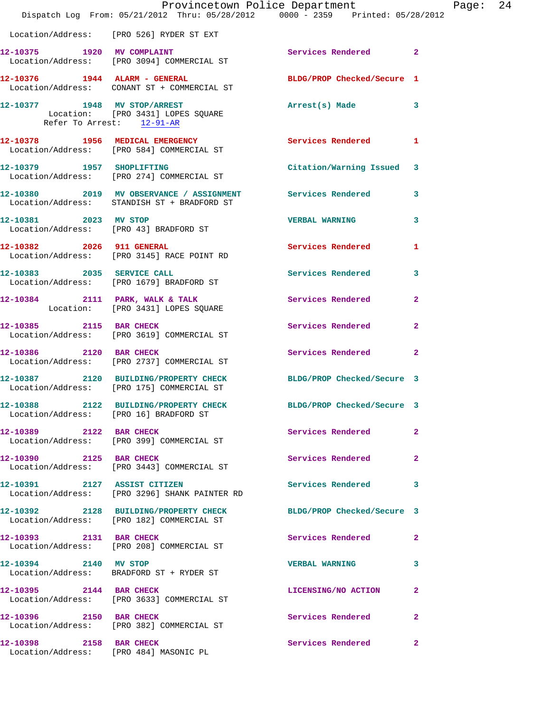|                           | Provincetown Police Department The Page: 24<br>Dispatch Log From: 05/21/2012 Thru: 05/28/2012 0000 - 2359 Printed: 05/28/2012 |                            |              |  |
|---------------------------|-------------------------------------------------------------------------------------------------------------------------------|----------------------------|--------------|--|
|                           | Location/Address: [PRO 526] RYDER ST EXT                                                                                      |                            |              |  |
|                           | 12-10375 1920 MV COMPLAINT<br>Location/Address: [PRO 3094] COMMERCIAL ST                                                      | Services Rendered 2        |              |  |
|                           | 12-10376 1944 ALARM - GENERAL BLDG/PROP Checked/Secure 1<br>Location/Address: CONANT ST + COMMERCIAL ST                       |                            |              |  |
| Refer To Arrest: 12-91-AR | 12-10377          1948    MV STOP/ARREST<br>Location:    [PRO 3431] LOPES SQUARE                                              | Arrest(s) Made 3           |              |  |
|                           | 12-10378 1956 MEDICAL EMERGENCY<br>Location/Address: [PRO 584] COMMERCIAL ST                                                  | Services Rendered 1        |              |  |
|                           | 12-10379 1957 SHOPLIFTING<br>Location/Address: [PRO 274] COMMERCIAL ST                                                        | Citation/Warning Issued 3  |              |  |
|                           | 12-10380 2019 MV OBSERVANCE / ASSIGNMENT Services Rendered 3<br>Location/Address: STANDISH ST + BRADFORD ST                   |                            |              |  |
| 12-10381 2023 MV STOP     | Location/Address: [PRO 43] BRADFORD ST                                                                                        | <b>VERBAL WARNING 3</b>    |              |  |
|                           | 12-10382 2026 911 GENERAL<br>Location/Address: [PRO 3145] RACE POINT RD                                                       | Services Rendered          | $\mathbf{1}$ |  |
|                           | 12-10383 2035 SERVICE CALL<br>Location/Address: [PRO 1679] BRADFORD ST                                                        | Services Rendered 3        |              |  |
|                           | 12-10384 2111 PARK, WALK & TALK<br>Location: [PRO 3431] LOPES SQUARE                                                          | Services Rendered          | $\mathbf{2}$ |  |
|                           | 12-10385 2115 BAR CHECK<br>Location/Address: [PRO 3619] COMMERCIAL ST                                                         | Services Rendered          | $\mathbf{2}$ |  |
|                           | 12-10386 2120 BAR CHECK<br>Location/Address: [PRO 2737] COMMERCIAL ST                                                         | Services Rendered 2        |              |  |
|                           | 12-10387 2120 BUILDING/PROPERTY CHECK BLDG/PROP Checked/Secure 3<br>Location/Address: [PRO 175] COMMERCIAL ST                 |                            |              |  |
|                           | 12-10388 2122 BUILDING/PROPERTY CHECK<br>Location/Address: [PRO 16] BRADFORD ST                                               | BLDG/PROP Checked/Secure 3 |              |  |
| 12-10389 2122 BAR CHECK   | Location/Address: [PRO 399] COMMERCIAL ST                                                                                     | Services Rendered 2        |              |  |
|                           | 12-10390 2125 BAR CHECK<br>Location/Address: [PRO 3443] COMMERCIAL ST                                                         | Services Rendered          | $\mathbf{2}$ |  |
|                           | 12-10391 2127 ASSIST CITIZEN<br>Location/Address: [PRO 3296] SHANK PAINTER RD                                                 | Services Rendered 3        |              |  |
|                           | 12-10392 2128 BUILDING/PROPERTY CHECK BLDG/PROP Checked/Secure 3<br>Location/Address: [PRO 182] COMMERCIAL ST                 |                            |              |  |
| 12-10393 2131 BAR CHECK   | Location/Address: [PRO 208] COMMERCIAL ST                                                                                     | Services Rendered 2        |              |  |
|                           | 12-10394 2140 MV STOP<br>Location/Address: BRADFORD ST + RYDER ST                                                             | <b>VERBAL WARNING</b>      | 3            |  |
| 12-10395 2144 BAR CHECK   | Location/Address: [PRO 3633] COMMERCIAL ST                                                                                    | LICENSING/NO ACTION        | $\mathbf{2}$ |  |
|                           | 12-10396 2150 BAR CHECK<br>Location/Address: [PRO 382] COMMERCIAL ST                                                          | Services Rendered          | $\mathbf{2}$ |  |
| 12-10398 2158 BAR CHECK   | Location/Address: [PRO 484] MASONIC PL                                                                                        | Services Rendered          | $\mathbf{2}$ |  |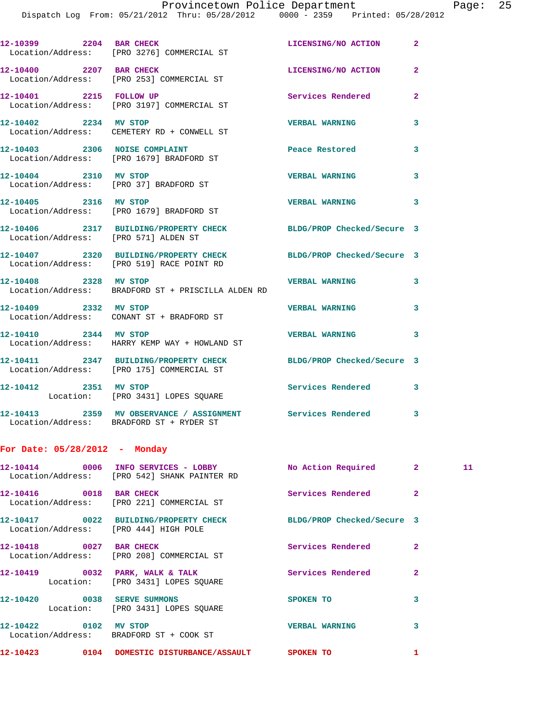Dispatch Log From: 05/21/2012 Thru: 05/28/2012 0000 - 2359 Printed: 05/28/2012

| 12-10399 2204 BAR CHECK              | Location/Address: [PRO 3276] COMMERCIAL ST                                         | LICENSING/NO ACTION        | $\mathbf{2}$   |
|--------------------------------------|------------------------------------------------------------------------------------|----------------------------|----------------|
| 12-10400 2207 BAR CHECK              | Location/Address: [PRO 253] COMMERCIAL ST                                          | LICENSING/NO ACTION        | $\overline{2}$ |
| 12-10401 2215 FOLLOW UP              | Location/Address: [PRO 3197] COMMERCIAL ST                                         | <b>Services Rendered</b>   | $\overline{2}$ |
| 12-10402 2234 MV STOP                | Location/Address: CEMETERY RD + CONWELL ST                                         | <b>VERBAL WARNING</b>      | 3              |
|                                      | 12-10403 2306 NOISE COMPLAINT<br>Location/Address: [PRO 1679] BRADFORD ST          | Peace Restored             | 3              |
| 12-10404 2310 MV STOP                | Location/Address: [PRO 37] BRADFORD ST                                             | <b>VERBAL WARNING</b>      | 3              |
| 12-10405 2316 MV STOP                | Location/Address: [PRO 1679] BRADFORD ST                                           | <b>VERBAL WARNING</b>      | 3              |
| Location/Address: [PRO 571] ALDEN ST | 12-10406 2317 BUILDING/PROPERTY CHECK                                              | BLDG/PROP Checked/Secure 3 |                |
|                                      | 12-10407 2320 BUILDING/PROPERTY CHECK<br>Location/Address: [PRO 519] RACE POINT RD | BLDG/PROP Checked/Secure 3 |                |
| 12-10408 2328 MV STOP                | Location/Address: BRADFORD ST + PRISCILLA ALDEN RD                                 | <b>VERBAL WARNING</b>      | 3              |
| 12-10409 2332 MV STOP                | Location/Address: CONANT ST + BRADFORD ST                                          | <b>VERBAL WARNING</b>      | 3              |
| 12-10410 2344 MV STOP                | Location/Address: HARRY KEMP WAY + HOWLAND ST                                      | <b>VERBAL WARNING</b>      | 3              |
|                                      | 12-10411 2347 BUILDING/PROPERTY CHECK<br>Location/Address: [PRO 175] COMMERCIAL ST | BLDG/PROP Checked/Secure 3 |                |
| 12-10412 2351 MV STOP                | Location: [PRO 3431] LOPES SQUARE                                                  | Services Rendered          | 3              |
|                                      | Location/Address: BRADFORD ST + RYDER ST                                           |                            | 3              |
|                                      |                                                                                    |                            |                |

**12-10414 0006 INFO SERVICES - LOBBY No Action Required 2 11**  Location/Address: [PRO 542] SHANK PAINTER RD **12-10416** 0018 BAR CHECK Services Rendered 2 Location/Address: [PRO 221] COMMERCIAL ST **12-10417 0022 BUILDING/PROPERTY CHECK BLDG/PROP Checked/Secure 3**  Location/Address: [PRO 444] HIGH POLE **12-10418** 0027 BAR CHECK Services Rendered 2 Location/Address: [PRO 208] COMMERCIAL ST 12-10419 0032 PARK, WALK & TALK Services Rendered 2 Location: [PRO 3431] LOPES SQUARE **12-10420 0038 SERVE SUMMONS SPOKEN TO 3**  Location: [PRO 3431] LOPES SQUARE **12-10422 0102 MV STOP VERBAL WARNING 3**  Location/Address: BRADFORD ST + COOK ST **12-10423 0104 DOMESTIC DISTURBANCE/ASSAULT SPOKEN TO 1** 

**For Date: 05/28/2012 - Monday**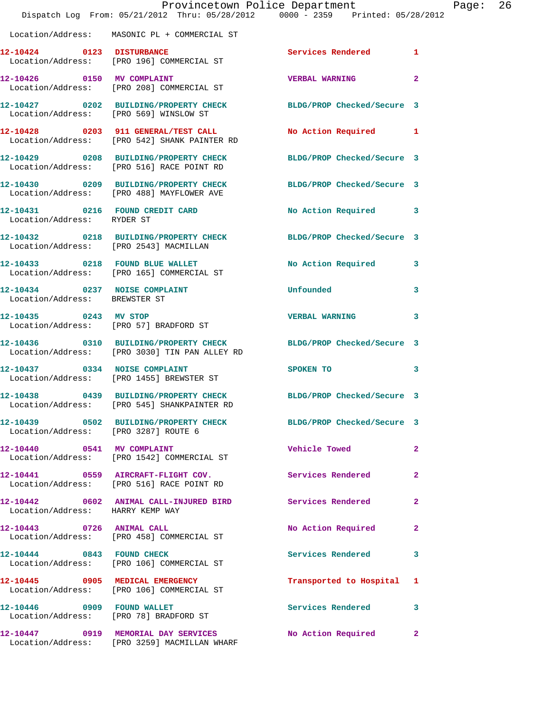|                                      | Dispatch Log From: 05/21/2012 Thru: 05/28/2012 0000 - 2359 Printed: 05/28/2012                                    | Provincetown Police Department |              | Page: 26 |  |
|--------------------------------------|-------------------------------------------------------------------------------------------------------------------|--------------------------------|--------------|----------|--|
|                                      | Location/Address: MASONIC PL + COMMERCIAL ST                                                                      |                                |              |          |  |
|                                      | 12-10424 0123 DISTURBANCE<br>Location/Address: [PRO 196] COMMERCIAL ST                                            | Services Rendered 1            |              |          |  |
| 12-10426 0150 MV COMPLAINT           | Location/Address: [PRO 208] COMMERCIAL ST                                                                         | <b>VERBAL WARNING</b>          | $\mathbf{2}$ |          |  |
|                                      | 12-10427 0202 BUILDING/PROPERTY CHECK BLDG/PROP Checked/Secure 3<br>Location/Address: [PRO 569] WINSLOW ST        |                                |              |          |  |
|                                      | 12-10428 0203 911 GENERAL/TEST CALL<br>Location/Address: [PRO 542] SHANK PAINTER RD                               | No Action Required 1           |              |          |  |
|                                      | 12-10429 0208 BUILDING/PROPERTY CHECK<br>Location/Address: [PRO 516] RACE POINT RD                                | BLDG/PROP Checked/Secure 3     |              |          |  |
|                                      | 12-10430 0209 BUILDING/PROPERTY CHECK BLDG/PROP Checked/Secure 3<br>Location/Address: [PRO 488] MAYFLOWER AVE     |                                |              |          |  |
| Location/Address: RYDER ST           | 12-10431 0216 FOUND CREDIT CARD                                                                                   | No Action Required 3           |              |          |  |
|                                      | 12-10432 0218 BUILDING/PROPERTY CHECK BLDG/PROP Checked/Secure 3<br>Location/Address: [PRO 2543] MACMILLAN        |                                |              |          |  |
|                                      | 12-10433 0218 FOUND BLUE WALLET<br>Location/Address: [PRO 165] COMMERCIAL ST                                      | No Action Required 3           |              |          |  |
| Location/Address: BREWSTER ST        | 12-10434 0237 NOISE COMPLAINT                                                                                     | Unfounded                      | 3            |          |  |
| 12-10435 0243 MV STOP                | Location/Address: [PRO 57] BRADFORD ST                                                                            | VERBAL WARNING 3               |              |          |  |
|                                      | 12-10436 0310 BUILDING/PROPERTY CHECK BLDG/PROP Checked/Secure 3<br>Location/Address: [PRO 3030] TIN PAN ALLEY RD |                                |              |          |  |
| 12-10437 0334 NOISE COMPLAINT        | Location/Address: [PRO 1455] BREWSTER ST                                                                          | SPOKEN TO                      | 3            |          |  |
|                                      | 12-10438 0439 BUILDING/PROPERTY CHECK BLDG/PROP Checked/Secure 3<br>Location/Address: [PRO 545] SHANKPAINTER RD   |                                |              |          |  |
| Location/Address: [PRO 3287] ROUTE 6 | 12-10439 0502 BUILDING/PROPERTY CHECK BLDG/PROP Checked/Secure 3                                                  |                                |              |          |  |
|                                      | 12-10440 0541 MV COMPLAINT<br>Location/Address: [PRO 1542] COMMERCIAL ST                                          | <b>Vehicle Towed</b>           | $\mathbf{2}$ |          |  |
|                                      | 12-10441 0559 AIRCRAFT-FLIGHT COV.<br>Location/Address: [PRO 516] RACE POINT RD                                   | Services Rendered 2            |              |          |  |
| Location/Address: HARRY KEMP WAY     | 12-10442 0602 ANIMAL CALL-INJURED BIRD Services Rendered                                                          |                                | $\mathbf{2}$ |          |  |
|                                      | 12-10443 0726 ANIMAL CALL<br>Location/Address: [PRO 458] COMMERCIAL ST                                            | No Action Required 2           |              |          |  |
|                                      | 12-10444 0843 FOUND CHECK<br>Location/Address: [PRO 106] COMMERCIAL ST                                            | <b>Services Rendered</b>       | 3            |          |  |
|                                      | 12-10445 0905 MEDICAL EMERGENCY<br>Location/Address: [PRO 106] COMMERCIAL ST                                      | Transported to Hospital 1      |              |          |  |
|                                      | 12-10446  0909  FOUND WALLET<br>Location/Address: [PRO 78] BRADFORD ST                                            | Services Rendered              | 3            |          |  |
|                                      | 12-10447 0919 MEMORIAL DAY SERVICES<br>Location/Address: [PRO 3259] MACMILLAN WHARF                               | No Action Required 2           |              |          |  |